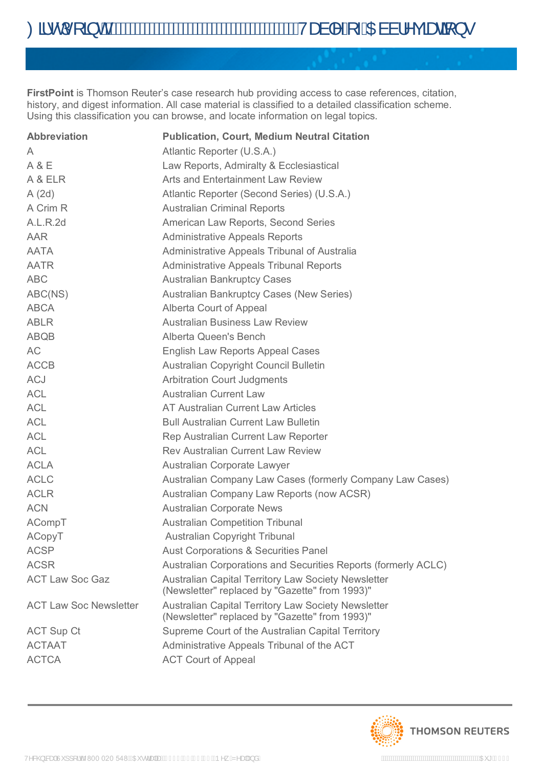**FirstPoint** is Thomson Reuter's case research hub providing access to case references, citation, history, and digest information. All case material is classified to a detailed classification scheme. Using this classification you can browse, and locate information on legal topics.

| <b>Abbreviation</b>           | <b>Publication, Court, Medium Neutral Citation</b>                                                           |
|-------------------------------|--------------------------------------------------------------------------------------------------------------|
| A                             | Atlantic Reporter (U.S.A.)                                                                                   |
| A & E                         | Law Reports, Admiralty & Ecclesiastical                                                                      |
| A & ELR                       | Arts and Entertainment Law Review                                                                            |
| A(2d)                         | Atlantic Reporter (Second Series) (U.S.A.)                                                                   |
| A Crim R                      | <b>Australian Criminal Reports</b>                                                                           |
| A.L.R.2d                      | American Law Reports, Second Series                                                                          |
| <b>AAR</b>                    | <b>Administrative Appeals Reports</b>                                                                        |
| <b>AATA</b>                   | Administrative Appeals Tribunal of Australia                                                                 |
| <b>AATR</b>                   | <b>Administrative Appeals Tribunal Reports</b>                                                               |
| <b>ABC</b>                    | <b>Australian Bankruptcy Cases</b>                                                                           |
| ABC(NS)                       | <b>Australian Bankruptcy Cases (New Series)</b>                                                              |
| <b>ABCA</b>                   | Alberta Court of Appeal                                                                                      |
| <b>ABLR</b>                   | <b>Australian Business Law Review</b>                                                                        |
| <b>ABQB</b>                   | Alberta Queen's Bench                                                                                        |
| AC                            | <b>English Law Reports Appeal Cases</b>                                                                      |
| <b>ACCB</b>                   | Australian Copyright Council Bulletin                                                                        |
| <b>ACJ</b>                    | <b>Arbitration Court Judgments</b>                                                                           |
| <b>ACL</b>                    | <b>Australian Current Law</b>                                                                                |
| <b>ACL</b>                    | AT Australian Current Law Articles                                                                           |
| <b>ACL</b>                    | <b>Bull Australian Current Law Bulletin</b>                                                                  |
| <b>ACL</b>                    | Rep Australian Current Law Reporter                                                                          |
| <b>ACL</b>                    | <b>Rev Australian Current Law Review</b>                                                                     |
| <b>ACLA</b>                   | Australian Corporate Lawyer                                                                                  |
| <b>ACLC</b>                   | Australian Company Law Cases (formerly Company Law Cases)                                                    |
| <b>ACLR</b>                   | Australian Company Law Reports (now ACSR)                                                                    |
| <b>ACN</b>                    | <b>Australian Corporate News</b>                                                                             |
| ACompT                        | <b>Australian Competition Tribunal</b>                                                                       |
| ACopyT                        | <b>Australian Copyright Tribunal</b>                                                                         |
| <b>ACSP</b>                   | <b>Aust Corporations &amp; Securities Panel</b>                                                              |
| <b>ACSR</b>                   | Australian Corporations and Securities Reports (formerly ACLC)                                               |
| <b>ACT Law Soc Gaz</b>        | <b>Australian Capital Territory Law Society Newsletter</b><br>(Newsletter" replaced by "Gazette" from 1993)" |
| <b>ACT Law Soc Newsletter</b> | Australian Capital Territory Law Society Newsletter<br>(Newsletter" replaced by "Gazette" from 1993)"        |
| <b>ACT Sup Ct</b>             | Supreme Court of the Australian Capital Territory                                                            |
| <b>ACTAAT</b>                 | Administrative Appeals Tribunal of the ACT                                                                   |
| <b>ACTCA</b>                  | <b>ACT Court of Appeal</b>                                                                                   |

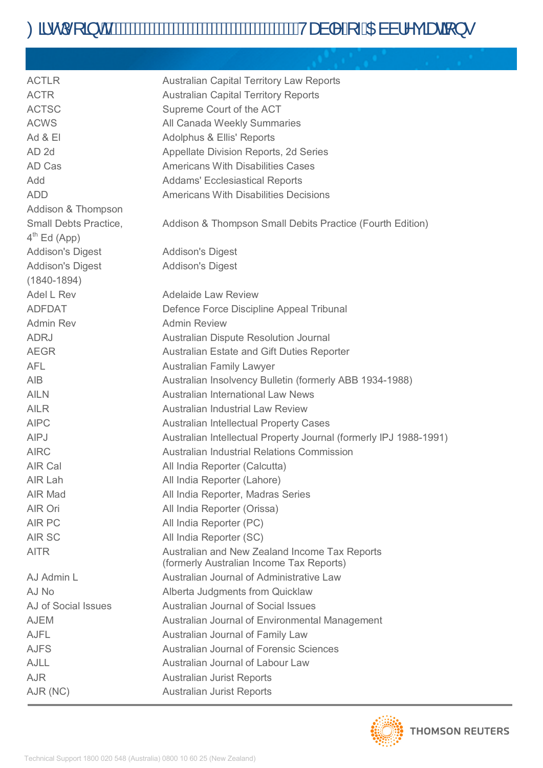# Oã·dí[ ã di mini a di mini di mini di mini di mini di mini di mini di mini di mini di mini di mini di mini di m

| <b>ACTLR</b>            | <b>Australian Capital Territory Law Reports</b>                                           |
|-------------------------|-------------------------------------------------------------------------------------------|
| <b>ACTR</b>             | <b>Australian Capital Territory Reports</b>                                               |
| <b>ACTSC</b>            | Supreme Court of the ACT                                                                  |
| <b>ACWS</b>             | All Canada Weekly Summaries                                                               |
| $Ad 8$ El               | Adolphus & Ellis' Reports                                                                 |
| AD <sub>2d</sub>        | Appellate Division Reports, 2d Series                                                     |
| AD Cas                  | <b>Americans With Disabilities Cases</b>                                                  |
| Add                     | <b>Addams' Ecclesiastical Reports</b>                                                     |
| <b>ADD</b>              | <b>Americans With Disabilities Decisions</b>                                              |
| Addison & Thompson      |                                                                                           |
| Small Debts Practice,   | Addison & Thompson Small Debits Practice (Fourth Edition)                                 |
| $4th$ Ed (App)          |                                                                                           |
| <b>Addison's Digest</b> | <b>Addison's Digest</b>                                                                   |
| <b>Addison's Digest</b> | <b>Addison's Digest</b>                                                                   |
| $(1840 - 1894)$         |                                                                                           |
| Adel L Rev              | <b>Adelaide Law Review</b>                                                                |
| <b>ADFDAT</b>           | Defence Force Discipline Appeal Tribunal                                                  |
| Admin Rev               | <b>Admin Review</b>                                                                       |
| <b>ADRJ</b>             | Australian Dispute Resolution Journal                                                     |
| <b>AEGR</b>             | Australian Estate and Gift Duties Reporter                                                |
| <b>AFL</b>              | <b>Australian Family Lawyer</b>                                                           |
| <b>AIB</b>              | Australian Insolvency Bulletin (formerly ABB 1934-1988)                                   |
| <b>AILN</b>             | <b>Australian International Law News</b>                                                  |
| <b>AILR</b>             | <b>Australian Industrial Law Review</b>                                                   |
| <b>AIPC</b>             | <b>Australian Intellectual Property Cases</b>                                             |
| AIPJ                    | Australian Intellectual Property Journal (formerly IPJ 1988-1991)                         |
| <b>AIRC</b>             | Australian Industrial Relations Commission                                                |
| AIR Cal                 | All India Reporter (Calcutta)                                                             |
| AIR Lah                 | All India Reporter (Lahore)                                                               |
| <b>AIR Mad</b>          | All India Reporter, Madras Series                                                         |
| AIR Ori                 | All India Reporter (Orissa)                                                               |
| AIR PC                  | All India Reporter (PC)                                                                   |
| <b>AIR SC</b>           | All India Reporter (SC)                                                                   |
| <b>AITR</b>             | Australian and New Zealand Income Tax Reports<br>(formerly Australian Income Tax Reports) |
| AJ Admin L              | Australian Journal of Administrative Law                                                  |
| AJ No                   | Alberta Judgments from Quicklaw                                                           |
| AJ of Social Issues     | <b>Australian Journal of Social Issues</b>                                                |
| <b>AJEM</b>             | Australian Journal of Environmental Management                                            |
| <b>AJFL</b>             | Australian Journal of Family Law                                                          |
| <b>AJFS</b>             | <b>Australian Journal of Forensic Sciences</b>                                            |
| <b>AJLL</b>             | Australian Journal of Labour Law                                                          |
| <b>AJR</b>              | <b>Australian Jurist Reports</b>                                                          |
| AJR (NC)                | <b>Australian Jurist Reports</b>                                                          |

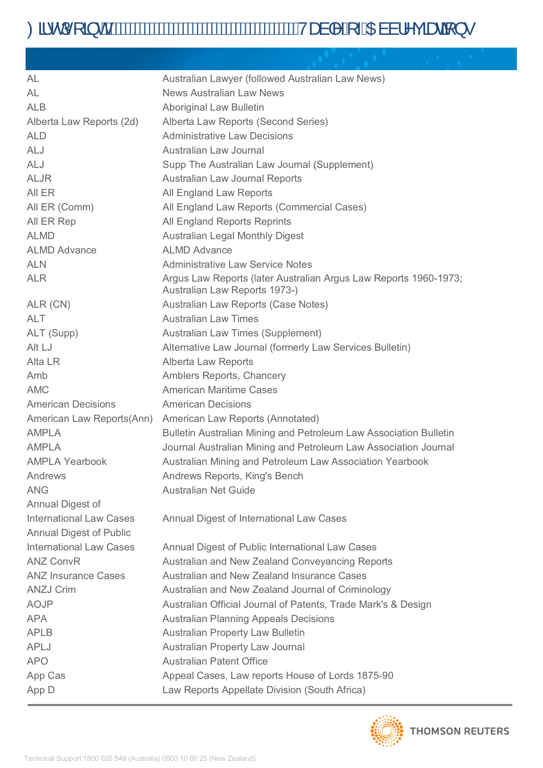| AL                             | Australian Lawyer (followed Australian Law News)                                                  |
|--------------------------------|---------------------------------------------------------------------------------------------------|
| AL                             | <b>News Australian Law News</b>                                                                   |
| <b>ALB</b>                     | <b>Aboriginal Law Bulletin</b>                                                                    |
| Alberta Law Reports (2d)       | Alberta Law Reports (Second Series)                                                               |
| <b>ALD</b>                     | <b>Administrative Law Decisions</b>                                                               |
| <b>ALJ</b>                     | Australian Law Journal                                                                            |
| <b>ALJ</b>                     | Supp The Australian Law Journal (Supplement)                                                      |
| <b>ALJR</b>                    | Australian Law Journal Reports                                                                    |
| AII ER                         | All England Law Reports                                                                           |
| All ER (Comm)                  | All England Law Reports (Commercial Cases)                                                        |
| All ER Rep                     | All England Reports Reprints                                                                      |
| <b>ALMD</b>                    | <b>Australian Legal Monthly Digest</b>                                                            |
| <b>ALMD Advance</b>            | <b>ALMD Advance</b>                                                                               |
| <b>ALN</b>                     | <b>Administrative Law Service Notes</b>                                                           |
| <b>ALR</b>                     | Argus Law Reports (later Australian Argus Law Reports 1960-1973;<br>Australian Law Reports 1973-) |
| ALR (CN)                       | Australian Law Reports (Case Notes)                                                               |
| <b>ALT</b>                     | <b>Australian Law Times</b>                                                                       |
| ALT (Supp)                     | Australian Law Times (Supplement)                                                                 |
| Alt LJ                         | Alternative Law Journal (formerly Law Services Bulletin)                                          |
| Alta LR                        | Alberta Law Reports                                                                               |
| Amb                            | Amblers Reports, Chancery                                                                         |
| <b>AMC</b>                     | <b>American Maritime Cases</b>                                                                    |
| <b>American Decisions</b>      | <b>American Decisions</b>                                                                         |
| American Law Reports(Ann)      | American Law Reports (Annotated)                                                                  |
| <b>AMPLA</b>                   | Bulletin Australian Mining and Petroleum Law Association Bulletin                                 |
| <b>AMPLA</b>                   | Journal Australian Mining and Petroleum Law Association Journal                                   |
| <b>AMPLA Yearbook</b>          | Australian Mining and Petroleum Law Association Yearbook                                          |
| Andrews                        | Andrews Reports, King's Bench                                                                     |
| <b>ANG</b>                     | <b>Australian Net Guide</b>                                                                       |
| Annual Digest of               |                                                                                                   |
| <b>International Law Cases</b> | <b>Annual Digest of International Law Cases</b>                                                   |
| <b>Annual Digest of Public</b> |                                                                                                   |
| <b>International Law Cases</b> | Annual Digest of Public International Law Cases                                                   |
| <b>ANZ ConvR</b>               | Australian and New Zealand Conveyancing Reports                                                   |
| <b>ANZ Insurance Cases</b>     | Australian and New Zealand Insurance Cases                                                        |
| <b>ANZJ Crim</b>               | Australian and New Zealand Journal of Criminology                                                 |
| <b>AOJP</b>                    | Australian Official Journal of Patents, Trade Mark's & Design                                     |
| APA                            | <b>Australian Planning Appeals Decisions</b>                                                      |
| <b>APLB</b>                    | <b>Australian Property Law Bulletin</b>                                                           |
| <b>APLJ</b>                    | <b>Australian Property Law Journal</b>                                                            |
| <b>APO</b>                     | <b>Australian Patent Office</b>                                                                   |
| App Cas                        | Appeal Cases, Law reports House of Lords 1875-90                                                  |
| App D                          | Law Reports Appellate Division (South Africa)                                                     |

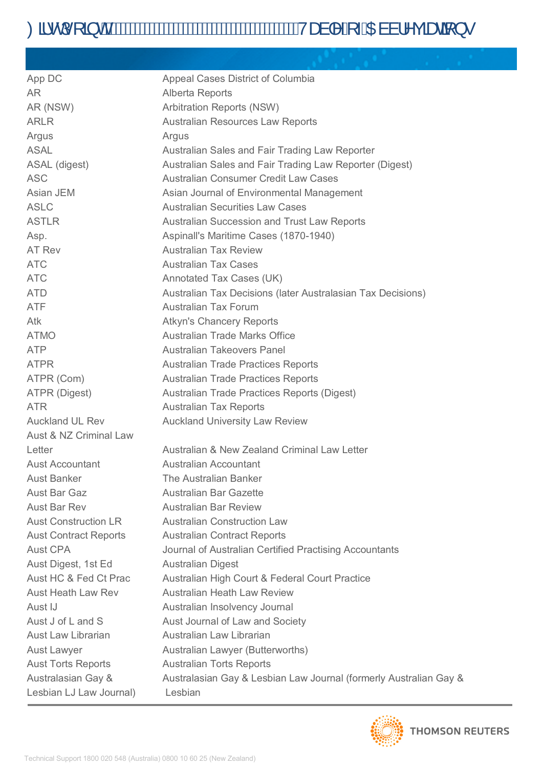| App DC                            | Appeal Cases District of Columbia                                 |
|-----------------------------------|-------------------------------------------------------------------|
| AR.                               | Alberta Reports                                                   |
| AR (NSW)                          | <b>Arbitration Reports (NSW)</b>                                  |
| <b>ARLR</b>                       | Australian Resources Law Reports                                  |
| Argus                             | Argus                                                             |
| <b>ASAL</b>                       | Australian Sales and Fair Trading Law Reporter                    |
| ASAL (digest)                     | Australian Sales and Fair Trading Law Reporter (Digest)           |
| <b>ASC</b>                        | Australian Consumer Credit Law Cases                              |
| Asian JEM                         | Asian Journal of Environmental Management                         |
| <b>ASLC</b>                       | <b>Australian Securities Law Cases</b>                            |
| <b>ASTLR</b>                      | Australian Succession and Trust Law Reports                       |
| Asp.                              | Aspinall's Maritime Cases (1870-1940)                             |
| AT Rev                            | <b>Australian Tax Review</b>                                      |
| <b>ATC</b>                        | <b>Australian Tax Cases</b>                                       |
| <b>ATC</b>                        | Annotated Tax Cases (UK)                                          |
| <b>ATD</b>                        | Australian Tax Decisions (later Australasian Tax Decisions)       |
| <b>ATF</b>                        | <b>Australian Tax Forum</b>                                       |
| Atk                               | <b>Atkyn's Chancery Reports</b>                                   |
| <b>ATMO</b>                       | <b>Australian Trade Marks Office</b>                              |
| <b>ATP</b>                        | <b>Australian Takeovers Panel</b>                                 |
| <b>ATPR</b>                       | <b>Australian Trade Practices Reports</b>                         |
| ATPR (Com)                        | <b>Australian Trade Practices Reports</b>                         |
| ATPR (Digest)                     | Australian Trade Practices Reports (Digest)                       |
| <b>ATR</b>                        | <b>Australian Tax Reports</b>                                     |
| <b>Auckland UL Rev</b>            | <b>Auckland University Law Review</b>                             |
| <b>Aust &amp; NZ Criminal Law</b> |                                                                   |
| Letter                            | Australian & New Zealand Criminal Law Letter                      |
| <b>Aust Accountant</b>            | Australian Accountant                                             |
| <b>Aust Banker</b>                | The Australian Banker                                             |
| <b>Aust Bar Gaz</b>               | <b>Australian Bar Gazette</b>                                     |
| <b>Aust Bar Rev</b>               | <b>Australian Bar Review</b>                                      |
| <b>Aust Construction LR</b>       | <b>Australian Construction Law</b>                                |
| <b>Aust Contract Reports</b>      | <b>Australian Contract Reports</b>                                |
| <b>Aust CPA</b>                   | Journal of Australian Certified Practising Accountants            |
| Aust Digest, 1st Ed               | <b>Australian Digest</b>                                          |
| Aust HC & Fed Ct Prac             | Australian High Court & Federal Court Practice                    |
| <b>Aust Heath Law Rev</b>         | <b>Australian Heath Law Review</b>                                |
| Aust IJ                           | Australian Insolvency Journal                                     |
| Aust J of L and S                 | Aust Journal of Law and Society                                   |
| <b>Aust Law Librarian</b>         | Australian Law Librarian                                          |
| <b>Aust Lawyer</b>                | Australian Lawyer (Butterworths)                                  |
| <b>Aust Torts Reports</b>         | <b>Australian Torts Reports</b>                                   |
| Australasian Gay &                | Australasian Gay & Lesbian Law Journal (formerly Australian Gay & |
| Lesbian LJ Law Journal)           | Lesbian                                                           |

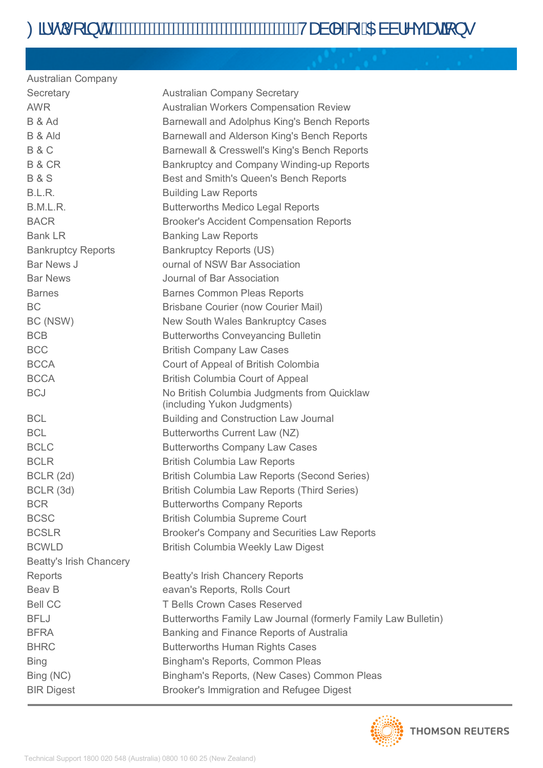| <b>Australian Company</b>      |                                                                            |
|--------------------------------|----------------------------------------------------------------------------|
| Secretary                      | <b>Australian Company Secretary</b>                                        |
| <b>AWR</b>                     | <b>Australian Workers Compensation Review</b>                              |
| B & Ad                         | Barnewall and Adolphus King's Bench Reports                                |
| B & Ald                        | Barnewall and Alderson King's Bench Reports                                |
| <b>B&amp;C</b>                 | Barnewall & Cresswell's King's Bench Reports                               |
| B & CR                         | Bankruptcy and Company Winding-up Reports                                  |
| <b>B&amp;S</b>                 | Best and Smith's Queen's Bench Reports                                     |
| B.L.R.                         | <b>Building Law Reports</b>                                                |
| B.M.L.R.                       | <b>Butterworths Medico Legal Reports</b>                                   |
| <b>BACR</b>                    | <b>Brooker's Accident Compensation Reports</b>                             |
| <b>Bank LR</b>                 | <b>Banking Law Reports</b>                                                 |
| <b>Bankruptcy Reports</b>      | <b>Bankruptcy Reports (US)</b>                                             |
| Bar News J                     | ournal of NSW Bar Association                                              |
| <b>Bar News</b>                | Journal of Bar Association                                                 |
| <b>Barnes</b>                  | <b>Barnes Common Pleas Reports</b>                                         |
| <b>BC</b>                      | <b>Brisbane Courier (now Courier Mail)</b>                                 |
| BC (NSW)                       | New South Wales Bankruptcy Cases                                           |
| <b>BCB</b>                     | <b>Butterworths Conveyancing Bulletin</b>                                  |
| <b>BCC</b>                     | <b>British Company Law Cases</b>                                           |
| <b>BCCA</b>                    | Court of Appeal of British Colombia                                        |
| <b>BCCA</b>                    | <b>British Columbia Court of Appeal</b>                                    |
| <b>BCJ</b>                     | No British Columbia Judgments from Quicklaw<br>(including Yukon Judgments) |
| <b>BCL</b>                     | <b>Building and Construction Law Journal</b>                               |
| <b>BCL</b>                     | Butterworths Current Law (NZ)                                              |
| <b>BCLC</b>                    | <b>Butterworths Company Law Cases</b>                                      |
| <b>BCLR</b>                    | <b>British Columbia Law Reports</b>                                        |
| BCLR (2d)                      | British Columbia Law Reports (Second Series)                               |
| BCLR (3d)                      | British Columbia Law Reports (Third Series)                                |
| <b>BCR</b>                     | <b>Butterworths Company Reports</b>                                        |
| <b>BCSC</b>                    | <b>British Columbia Supreme Court</b>                                      |
| <b>BCSLR</b>                   | Brooker's Company and Securities Law Reports                               |
| <b>BCWLD</b>                   | <b>British Columbia Weekly Law Digest</b>                                  |
| <b>Beatty's Irish Chancery</b> |                                                                            |
| Reports                        | <b>Beatty's Irish Chancery Reports</b>                                     |
| Beav B                         | eavan's Reports, Rolls Court                                               |
| <b>Bell CC</b>                 | <b>T Bells Crown Cases Reserved</b>                                        |
| <b>BFLJ</b>                    | Butterworths Family Law Journal (formerly Family Law Bulletin)             |
| <b>BFRA</b>                    | Banking and Finance Reports of Australia                                   |
| <b>BHRC</b>                    | <b>Butterworths Human Rights Cases</b>                                     |
| <b>Bing</b>                    | Bingham's Reports, Common Pleas                                            |
| Bing (NC)                      | Bingham's Reports, (New Cases) Common Pleas                                |
| <b>BIR Digest</b>              | Brooker's Immigration and Refugee Digest                                   |
|                                |                                                                            |

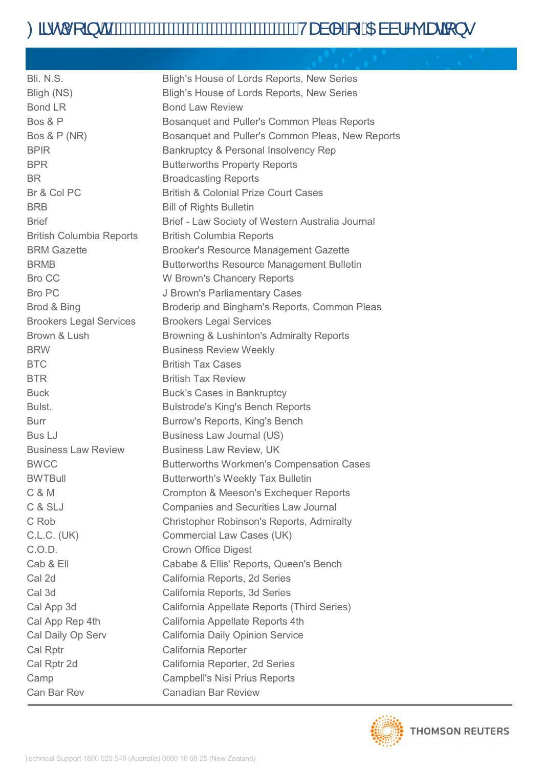| Bli. N.S.                       | Bligh's House of Lords Reports, New Series       |
|---------------------------------|--------------------------------------------------|
| Bligh (NS)                      | Bligh's House of Lords Reports, New Series       |
| <b>Bond LR</b>                  | <b>Bond Law Review</b>                           |
| Bos & P                         | Bosanquet and Puller's Common Pleas Reports      |
| <b>Bos &amp; P (NR)</b>         | Bosanquet and Puller's Common Pleas, New Reports |
| <b>BPIR</b>                     | Bankruptcy & Personal Insolvency Rep             |
| <b>BPR</b>                      | <b>Butterworths Property Reports</b>             |
| BR.                             | <b>Broadcasting Reports</b>                      |
| Br & Col PC                     | <b>British &amp; Colonial Prize Court Cases</b>  |
| <b>BRB</b>                      | <b>Bill of Rights Bulletin</b>                   |
| <b>Brief</b>                    | Brief - Law Society of Western Australia Journal |
| <b>British Columbia Reports</b> | <b>British Columbia Reports</b>                  |
| <b>BRM Gazette</b>              | <b>Brooker's Resource Management Gazette</b>     |
| <b>BRMB</b>                     | <b>Butterworths Resource Management Bulletin</b> |
| <b>Bro CC</b>                   | W Brown's Chancery Reports                       |
| <b>Bro PC</b>                   | J Brown's Parliamentary Cases                    |
| Brod & Bing                     | Broderip and Bingham's Reports, Common Pleas     |
| <b>Brookers Legal Services</b>  | <b>Brookers Legal Services</b>                   |
| Brown & Lush                    | Browning & Lushinton's Admiralty Reports         |
| <b>BRW</b>                      | <b>Business Review Weekly</b>                    |
| <b>BTC</b>                      | <b>British Tax Cases</b>                         |
| <b>BTR</b>                      | <b>British Tax Review</b>                        |
| <b>Buck</b>                     | <b>Buck's Cases in Bankruptcy</b>                |
| Bulst.                          | <b>Bulstrode's King's Bench Reports</b>          |
| <b>Burr</b>                     | Burrow's Reports, King's Bench                   |
| <b>Bus LJ</b>                   | Business Law Journal (US)                        |
| <b>Business Law Review</b>      | <b>Business Law Review, UK</b>                   |
| <b>BWCC</b>                     | <b>Butterworths Workmen's Compensation Cases</b> |
| <b>BWTBull</b>                  | <b>Butterworth's Weekly Tax Bulletin</b>         |
| C & M                           | Crompton & Meeson's Exchequer Reports            |
| C & SLJ                         | <b>Companies and Securities Law Journal</b>      |
| C Rob                           | <b>Christopher Robinson's Reports, Admiralty</b> |
| <b>C.L.C. (UK)</b>              | <b>Commercial Law Cases (UK)</b>                 |
| C.O.D.                          | <b>Crown Office Digest</b>                       |
| Cab & Ell                       | Cababe & Ellis' Reports, Queen's Bench           |
| Cal 2d                          | California Reports, 2d Series                    |
| Cal 3d                          | California Reports, 3d Series                    |
| Cal App 3d                      | California Appellate Reports (Third Series)      |
| Cal App Rep 4th                 | California Appellate Reports 4th                 |
| Cal Daily Op Serv               | California Daily Opinion Service                 |
| Cal Rptr                        | California Reporter                              |
| Cal Rptr 2d                     | California Reporter, 2d Series                   |
| Camp                            | <b>Campbell's Nisi Prius Reports</b>             |
| Can Bar Rev                     | <b>Canadian Bar Review</b>                       |

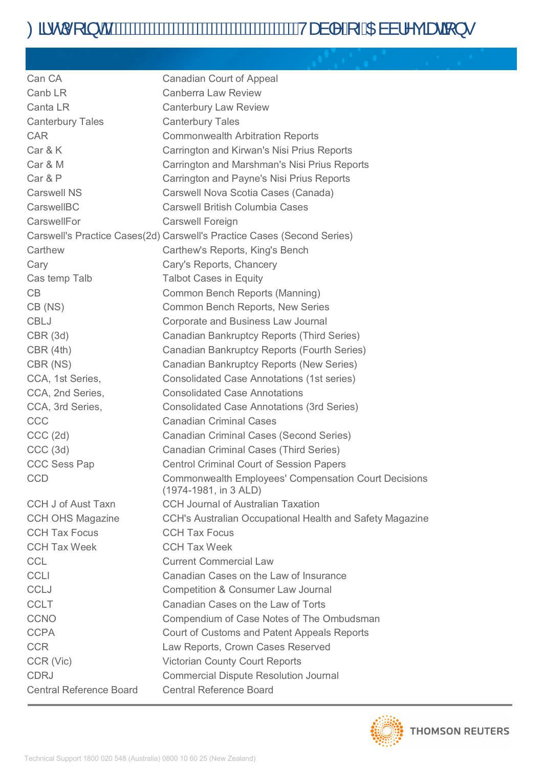| Can CA                         | Canadian Court of Appeal                                                             |
|--------------------------------|--------------------------------------------------------------------------------------|
| Canb LR                        | <b>Canberra Law Review</b>                                                           |
| Canta LR                       | <b>Canterbury Law Review</b>                                                         |
| <b>Canterbury Tales</b>        | <b>Canterbury Tales</b>                                                              |
| <b>CAR</b>                     | <b>Commonwealth Arbitration Reports</b>                                              |
| Car & K                        | Carrington and Kirwan's Nisi Prius Reports                                           |
| Car & M                        | Carrington and Marshman's Nisi Prius Reports                                         |
| Car & P                        | Carrington and Payne's Nisi Prius Reports                                            |
| <b>Carswell NS</b>             | Carswell Nova Scotia Cases (Canada)                                                  |
| CarswellBC                     | <b>Carswell British Columbia Cases</b>                                               |
| CarswellFor                    | <b>Carswell Foreign</b>                                                              |
|                                | Carswell's Practice Cases(2d) Carswell's Practice Cases (Second Series)              |
| Carthew                        | Carthew's Reports, King's Bench                                                      |
| Cary                           | Cary's Reports, Chancery                                                             |
| Cas temp Talb                  | <b>Talbot Cases in Equity</b>                                                        |
| CB                             | Common Bench Reports (Manning)                                                       |
| CB (NS)                        | Common Bench Reports, New Series                                                     |
| <b>CBLJ</b>                    | Corporate and Business Law Journal                                                   |
| CBR(3d)                        | Canadian Bankruptcy Reports (Third Series)                                           |
| CBR(4th)                       | Canadian Bankruptcy Reports (Fourth Series)                                          |
| CBR (NS)                       | Canadian Bankruptcy Reports (New Series)                                             |
| CCA, 1st Series,               | <b>Consolidated Case Annotations (1st series)</b>                                    |
| CCA, 2nd Series,               | <b>Consolidated Case Annotations</b>                                                 |
| CCA, 3rd Series,               | <b>Consolidated Case Annotations (3rd Series)</b>                                    |
| CCC                            | <b>Canadian Criminal Cases</b>                                                       |
| CCC (2d)                       | <b>Canadian Criminal Cases (Second Series)</b>                                       |
| CCC (3d)                       | <b>Canadian Criminal Cases (Third Series)</b>                                        |
| <b>CCC Sess Pap</b>            | <b>Centrol Criminal Court of Session Papers</b>                                      |
| <b>CCD</b>                     | <b>Commonwealth Employees' Compensation Court Decisions</b><br>(1974-1981, in 3 ALD) |
| <b>CCH J of Aust Taxn</b>      | <b>CCH Journal of Australian Taxation</b>                                            |
| <b>CCH OHS Magazine</b>        | CCH's Australian Occupational Health and Safety Magazine                             |
| <b>CCH Tax Focus</b>           | <b>CCH Tax Focus</b>                                                                 |
| <b>CCH Tax Week</b>            | <b>CCH Tax Week</b>                                                                  |
| <b>CCL</b>                     | <b>Current Commercial Law</b>                                                        |
| <b>CCLI</b>                    | Canadian Cases on the Law of Insurance                                               |
| <b>CCLJ</b>                    | <b>Competition &amp; Consumer Law Journal</b>                                        |
| <b>CCLT</b>                    | Canadian Cases on the Law of Torts                                                   |
| <b>CCNO</b>                    | Compendium of Case Notes of The Ombudsman                                            |
| <b>CCPA</b>                    | Court of Customs and Patent Appeals Reports                                          |
| <b>CCR</b>                     | Law Reports, Crown Cases Reserved                                                    |
| CCR (Vic)                      | <b>Victorian County Court Reports</b>                                                |
| <b>CDRJ</b>                    | <b>Commercial Dispute Resolution Journal</b>                                         |
| <b>Central Reference Board</b> | <b>Central Reference Board</b>                                                       |

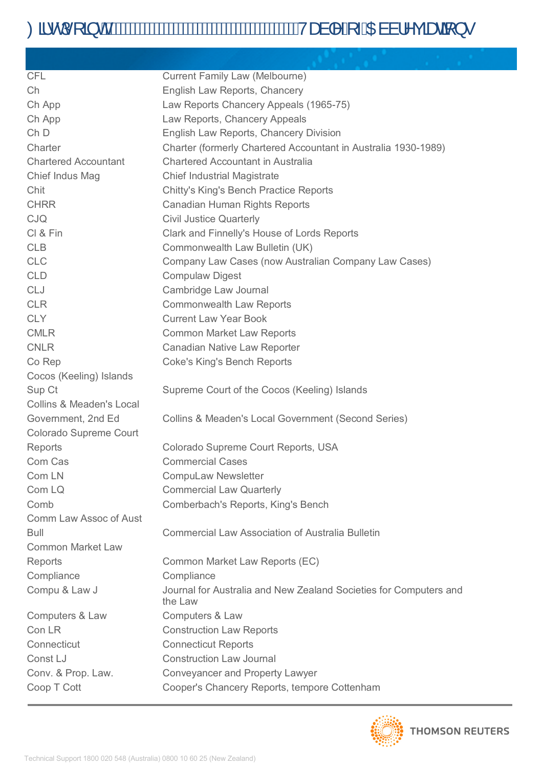# Od-dí[ a chlátomation and the control of ADail ng and your

| <b>CFL</b>                          | Current Family Law (Melbourne)                                               |
|-------------------------------------|------------------------------------------------------------------------------|
| Ch                                  | English Law Reports, Chancery                                                |
| Ch App                              | Law Reports Chancery Appeals (1965-75)                                       |
| Ch App                              | Law Reports, Chancery Appeals                                                |
| Ch <sub>D</sub>                     | English Law Reports, Chancery Division                                       |
| Charter                             | Charter (formerly Chartered Accountant in Australia 1930-1989)               |
| <b>Chartered Accountant</b>         | Chartered Accountant in Australia                                            |
| Chief Indus Mag                     | <b>Chief Industrial Magistrate</b>                                           |
| Chit                                | Chitty's King's Bench Practice Reports                                       |
| <b>CHRR</b>                         | Canadian Human Rights Reports                                                |
| <b>CJQ</b>                          | <b>Civil Justice Quarterly</b>                                               |
| CI & Fin                            | Clark and Finnelly's House of Lords Reports                                  |
| <b>CLB</b>                          | Commonwealth Law Bulletin (UK)                                               |
| <b>CLC</b>                          | Company Law Cases (now Australian Company Law Cases)                         |
| <b>CLD</b>                          | <b>Compulaw Digest</b>                                                       |
| <b>CLJ</b>                          | Cambridge Law Journal                                                        |
| <b>CLR</b>                          | <b>Commonwealth Law Reports</b>                                              |
| <b>CLY</b>                          | <b>Current Law Year Book</b>                                                 |
| <b>CMLR</b>                         | <b>Common Market Law Reports</b>                                             |
| <b>CNLR</b>                         | Canadian Native Law Reporter                                                 |
| Co Rep                              | <b>Coke's King's Bench Reports</b>                                           |
| Cocos (Keeling) Islands             |                                                                              |
| Sup Ct                              | Supreme Court of the Cocos (Keeling) Islands                                 |
| <b>Collins &amp; Meaden's Local</b> |                                                                              |
| Government, 2nd Ed                  | Collins & Meaden's Local Government (Second Series)                          |
| <b>Colorado Supreme Court</b>       |                                                                              |
| Reports                             | Colorado Supreme Court Reports, USA                                          |
| Com Cas                             | <b>Commercial Cases</b>                                                      |
| Com LN                              | <b>CompuLaw Newsletter</b>                                                   |
| Com LQ                              | <b>Commercial Law Quarterly</b>                                              |
| Comb                                | Comberbach's Reports, King's Bench                                           |
| Comm Law Assoc of Aust              |                                                                              |
| Bull                                | <b>Commercial Law Association of Australia Bulletin</b>                      |
| <b>Common Market Law</b>            |                                                                              |
| Reports                             | Common Market Law Reports (EC)                                               |
| Compliance                          | Compliance                                                                   |
| Compu & Law J                       | Journal for Australia and New Zealand Societies for Computers and<br>the Law |
| Computers & Law                     | Computers & Law                                                              |
| Con LR                              | <b>Construction Law Reports</b>                                              |
| Connecticut                         | <b>Connecticut Reports</b>                                                   |
| Const LJ                            | <b>Construction Law Journal</b>                                              |
| Conv. & Prop. Law.                  | <b>Conveyancer and Property Lawyer</b>                                       |
| Coop T Cott                         | Cooper's Chancery Reports, tempore Cottenham                                 |

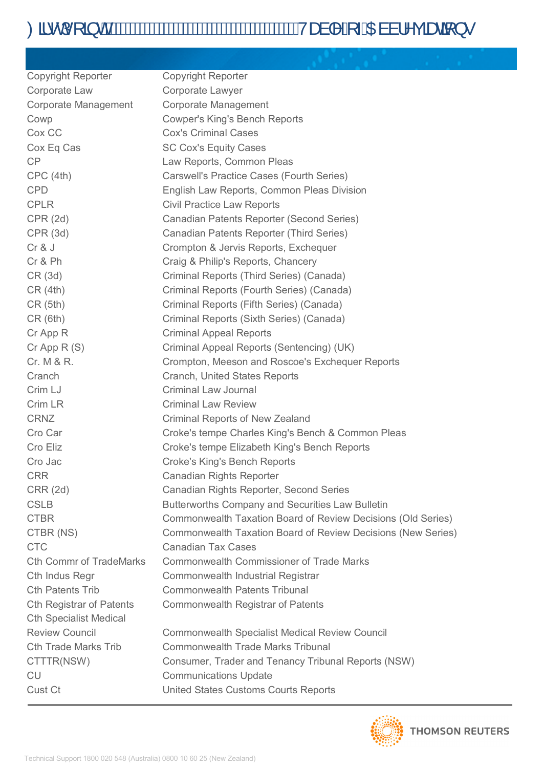| <b>Copyright Reporter</b>       | <b>Copyright Reporter</b>                                    |
|---------------------------------|--------------------------------------------------------------|
| Corporate Law                   | Corporate Lawyer                                             |
| <b>Corporate Management</b>     | <b>Corporate Management</b>                                  |
| Cowp                            | <b>Cowper's King's Bench Reports</b>                         |
| Cox CC                          | <b>Cox's Criminal Cases</b>                                  |
| Cox Eq Cas                      | <b>SC Cox's Equity Cases</b>                                 |
| CP                              | Law Reports, Common Pleas                                    |
| CPC(4th)                        | Carswell's Practice Cases (Fourth Series)                    |
| <b>CPD</b>                      | English Law Reports, Common Pleas Division                   |
| <b>CPLR</b>                     | <b>Civil Practice Law Reports</b>                            |
| CPR(2d)                         | Canadian Patents Reporter (Second Series)                    |
| CPR(3d)                         | Canadian Patents Reporter (Third Series)                     |
| Cr & J                          | Crompton & Jervis Reports, Exchequer                         |
| Cr & Ph                         | Craig & Philip's Reports, Chancery                           |
| CR(3d)                          | Criminal Reports (Third Series) (Canada)                     |
| CR(4th)                         | Criminal Reports (Fourth Series) (Canada)                    |
| CR(5th)                         | Criminal Reports (Fifth Series) (Canada)                     |
| CR(6th)                         | Criminal Reports (Sixth Series) (Canada)                     |
| Cr App R                        | <b>Criminal Appeal Reports</b>                               |
| $Cr$ App R $(S)$                | Criminal Appeal Reports (Sentencing) (UK)                    |
| Cr. M & R.                      | Crompton, Meeson and Roscoe's Exchequer Reports              |
| Cranch                          | Cranch, United States Reports                                |
| Crim LJ                         | <b>Criminal Law Journal</b>                                  |
| Crim LR                         | <b>Criminal Law Review</b>                                   |
| <b>CRNZ</b>                     | <b>Criminal Reports of New Zealand</b>                       |
| Cro Car                         | Croke's tempe Charles King's Bench & Common Pleas            |
| Cro Eliz                        | Croke's tempe Elizabeth King's Bench Reports                 |
| Cro Jac                         | <b>Croke's King's Bench Reports</b>                          |
| <b>CRR</b>                      | <b>Canadian Rights Reporter</b>                              |
| <b>CRR (2d)</b>                 | Canadian Rights Reporter, Second Series                      |
| <b>CSLB</b>                     | <b>Butterworths Company and Securities Law Bulletin</b>      |
| <b>CTBR</b>                     | Commonwealth Taxation Board of Review Decisions (Old Series) |
| CTBR (NS)                       | Commonwealth Taxation Board of Review Decisions (New Series) |
| <b>CTC</b>                      | <b>Canadian Tax Cases</b>                                    |
| <b>Cth Commr of TradeMarks</b>  | <b>Commonwealth Commissioner of Trade Marks</b>              |
| Cth Indus Regr                  | Commonwealth Industrial Registrar                            |
| <b>Cth Patents Trib</b>         | <b>Commonwealth Patents Tribunal</b>                         |
| <b>Cth Registrar of Patents</b> | Commonwealth Registrar of Patents                            |
| <b>Cth Specialist Medical</b>   |                                                              |
| <b>Review Council</b>           | <b>Commonwealth Specialist Medical Review Council</b>        |
| <b>Cth Trade Marks Trib</b>     | <b>Commonwealth Trade Marks Tribunal</b>                     |
| CTTTR(NSW)                      | Consumer, Trader and Tenancy Tribunal Reports (NSW)          |
| <b>CU</b>                       | <b>Communications Update</b>                                 |
| Cust Ct                         | <b>United States Customs Courts Reports</b>                  |

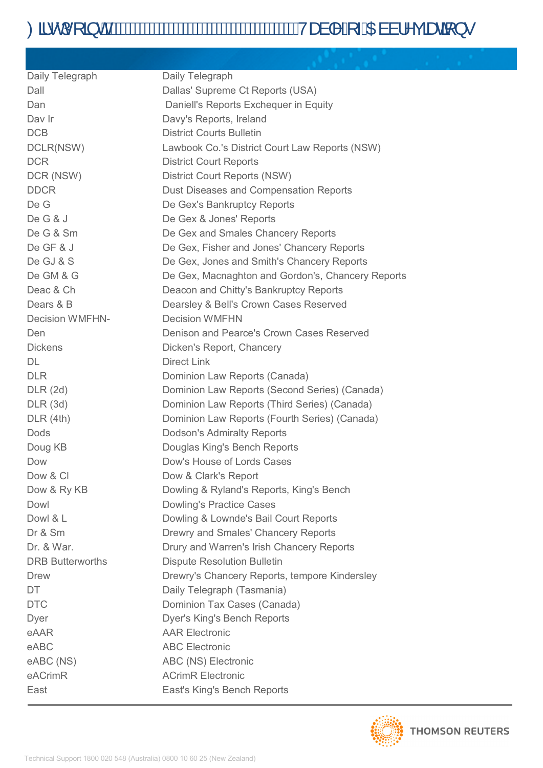# Oã·dí[ ã di mini a di mini di mini di mini di mini di mini di mini di mini di mini di mini di mini di mini di m

| Daily Telegraph         | Daily Telegraph                                   |
|-------------------------|---------------------------------------------------|
| Dall                    | Dallas' Supreme Ct Reports (USA)                  |
| Dan                     | Daniell's Reports Exchequer in Equity             |
| Day Ir                  | Davy's Reports, Ireland                           |
| <b>DCB</b>              | <b>District Courts Bulletin</b>                   |
| DCLR(NSW)               | Lawbook Co.'s District Court Law Reports (NSW)    |
| <b>DCR</b>              | <b>District Court Reports</b>                     |
| DCR (NSW)               | <b>District Court Reports (NSW)</b>               |
| <b>DDCR</b>             | Dust Diseases and Compensation Reports            |
| De G                    | De Gex's Bankruptcy Reports                       |
| De G & J                | De Gex & Jones' Reports                           |
| De G & Sm               | De Gex and Smales Chancery Reports                |
| De GF & J               | De Gex, Fisher and Jones' Chancery Reports        |
| De GJ & S               | De Gex, Jones and Smith's Chancery Reports        |
| De GM & G               | De Gex, Macnaghton and Gordon's, Chancery Reports |
| Deac & Ch               | Deacon and Chitty's Bankruptcy Reports            |
| Dears & B               | Dearsley & Bell's Crown Cases Reserved            |
| <b>Decision WMFHN-</b>  | <b>Decision WMFHN</b>                             |
| Den                     | Denison and Pearce's Crown Cases Reserved         |
| <b>Dickens</b>          | Dicken's Report, Chancery                         |
| DL                      | <b>Direct Link</b>                                |
| <b>DLR</b>              | Dominion Law Reports (Canada)                     |
| DLR(2d)                 | Dominion Law Reports (Second Series) (Canada)     |
| DLR(3d)                 | Dominion Law Reports (Third Series) (Canada)      |
| DLR(4th)                | Dominion Law Reports (Fourth Series) (Canada)     |
| Dods                    | <b>Dodson's Admiralty Reports</b>                 |
| Doug KB                 | Douglas King's Bench Reports                      |
| Dow                     | Dow's House of Lords Cases                        |
| Dow & CI                | Dow & Clark's Report                              |
| Dow & Ry KB             | Dowling & Ryland's Reports, King's Bench          |
| Dowl                    | Dowling's Practice Cases                          |
| Dowl & L                | Dowling & Lownde's Bail Court Reports             |
| Dr & Sm                 | Drewry and Smales' Chancery Reports               |
| Dr. & War.              | Drury and Warren's Irish Chancery Reports         |
| <b>DRB Butterworths</b> | <b>Dispute Resolution Bulletin</b>                |
| <b>Drew</b>             | Drewry's Chancery Reports, tempore Kindersley     |
| DT.                     | Daily Telegraph (Tasmania)                        |
| <b>DTC</b>              | Dominion Tax Cases (Canada)                       |
| Dyer                    | <b>Dyer's King's Bench Reports</b>                |
| eAAR                    | <b>AAR Electronic</b>                             |
| eABC                    | <b>ABC Electronic</b>                             |
| eABC (NS)               | ABC (NS) Electronic                               |
| eACrimR                 | <b>ACrimR Electronic</b>                          |
| East                    | East's King's Bench Reports                       |

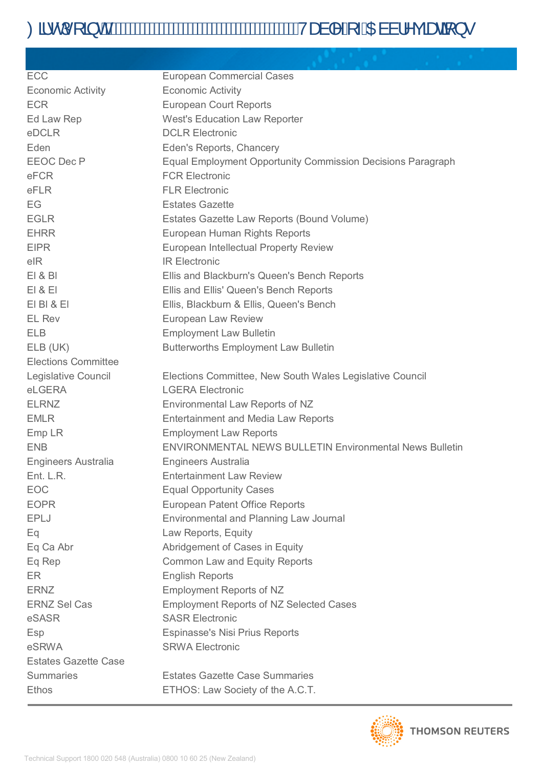# Oã·dí[ ã di mini a di mini di mini di mini di mini di mini di mini di mini di mini di mini di mini di mini di m

| ECC                         | <b>European Commercial Cases</b>                                   |
|-----------------------------|--------------------------------------------------------------------|
| <b>Economic Activity</b>    | <b>Economic Activity</b>                                           |
| <b>ECR</b>                  | <b>European Court Reports</b>                                      |
| Ed Law Rep                  | <b>West's Education Law Reporter</b>                               |
| eDCLR                       | <b>DCLR Electronic</b>                                             |
| Eden                        | Eden's Reports, Chancery                                           |
| <b>EEOC</b> Dec P           | <b>Equal Employment Opportunity Commission Decisions Paragraph</b> |
| eFCR                        | <b>FCR Electronic</b>                                              |
| eFLR                        | <b>FLR Electronic</b>                                              |
| EG                          | <b>Estates Gazette</b>                                             |
| <b>EGLR</b>                 | Estates Gazette Law Reports (Bound Volume)                         |
| <b>EHRR</b>                 | European Human Rights Reports                                      |
| <b>EIPR</b>                 | European Intellectual Property Review                              |
| eIR                         | <b>IR Electronic</b>                                               |
| E1 & B1                     | Ellis and Blackburn's Queen's Bench Reports                        |
| E1 & E1                     | Ellis and Ellis' Queen's Bench Reports                             |
| EIBI & EI                   | Ellis, Blackburn & Ellis, Queen's Bench                            |
| <b>EL Rev</b>               | European Law Review                                                |
| <b>ELB</b>                  | <b>Employment Law Bulletin</b>                                     |
| ELB (UK)                    | <b>Butterworths Employment Law Bulletin</b>                        |
| <b>Elections Committee</b>  |                                                                    |
| Legislative Council         | Elections Committee, New South Wales Legislative Council           |
| eLGERA                      | <b>LGERA Electronic</b>                                            |
| <b>ELRNZ</b>                | Environmental Law Reports of NZ                                    |
| <b>EMLR</b>                 | <b>Entertainment and Media Law Reports</b>                         |
| Emp LR                      | <b>Employment Law Reports</b>                                      |
| <b>ENB</b>                  | <b>ENVIRONMENTAL NEWS BULLETIN Environmental News Bulletin</b>     |
| <b>Engineers Australia</b>  | <b>Engineers Australia</b>                                         |
| Ent. L.R.                   | <b>Entertainment Law Review</b>                                    |
| <b>EOC</b>                  | <b>Equal Opportunity Cases</b>                                     |
| <b>EOPR</b>                 | <b>European Patent Office Reports</b>                              |
| <b>EPLJ</b>                 | Environmental and Planning Law Journal                             |
| Eq                          | Law Reports, Equity                                                |
| Eq Ca Abr                   | Abridgement of Cases in Equity                                     |
| Eq Rep                      | <b>Common Law and Equity Reports</b>                               |
| ER                          | <b>English Reports</b>                                             |
| <b>ERNZ</b>                 | <b>Employment Reports of NZ</b>                                    |
| <b>ERNZ Sel Cas</b>         | <b>Employment Reports of NZ Selected Cases</b>                     |
| eSASR                       | <b>SASR Electronic</b>                                             |
| Esp                         | <b>Espinasse's Nisi Prius Reports</b>                              |
| eSRWA                       | <b>SRWA Electronic</b>                                             |
| <b>Estates Gazette Case</b> |                                                                    |
| <b>Summaries</b>            | <b>Estates Gazette Case Summaries</b>                              |
| <b>Ethos</b>                | ETHOS: Law Society of the A.C.T.                                   |

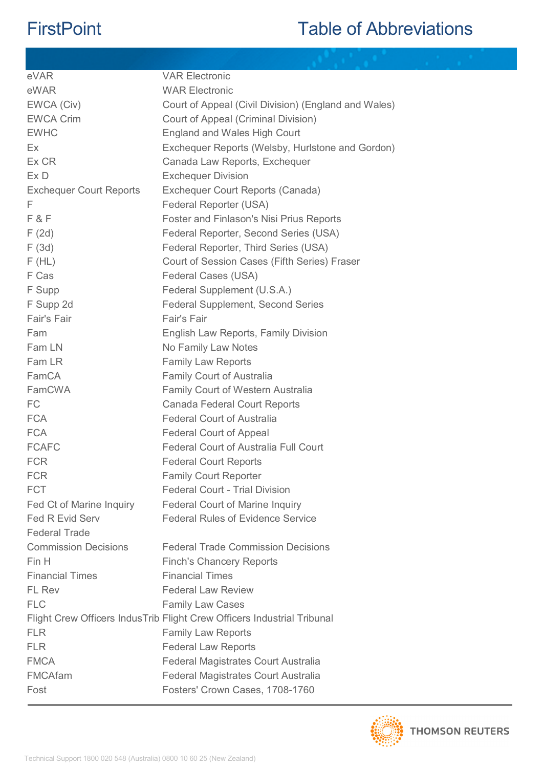| <b>VAR Electronic</b>                                                   |
|-------------------------------------------------------------------------|
| <b>WAR Electronic</b>                                                   |
| Court of Appeal (Civil Division) (England and Wales)                    |
| Court of Appeal (Criminal Division)                                     |
| England and Wales High Court                                            |
| Exchequer Reports (Welsby, Hurlstone and Gordon)                        |
| Canada Law Reports, Exchequer                                           |
| <b>Exchequer Division</b>                                               |
| Exchequer Court Reports (Canada)                                        |
| Federal Reporter (USA)                                                  |
| Foster and Finlason's Nisi Prius Reports                                |
| Federal Reporter, Second Series (USA)                                   |
| Federal Reporter, Third Series (USA)                                    |
| Court of Session Cases (Fifth Series) Fraser                            |
| Federal Cases (USA)                                                     |
| Federal Supplement (U.S.A.)                                             |
| <b>Federal Supplement, Second Series</b>                                |
| Fair's Fair                                                             |
| English Law Reports, Family Division                                    |
| No Family Law Notes                                                     |
| <b>Family Law Reports</b>                                               |
| <b>Family Court of Australia</b>                                        |
| <b>Family Court of Western Australia</b>                                |
| Canada Federal Court Reports                                            |
| <b>Federal Court of Australia</b>                                       |
| <b>Federal Court of Appeal</b>                                          |
| <b>Federal Court of Australia Full Court</b>                            |
| <b>Federal Court Reports</b>                                            |
| <b>Family Court Reporter</b>                                            |
| <b>Federal Court - Trial Division</b>                                   |
| <b>Federal Court of Marine Inquiry</b>                                  |
| <b>Federal Rules of Evidence Service</b>                                |
|                                                                         |
| <b>Federal Trade Commission Decisions</b>                               |
| <b>Finch's Chancery Reports</b>                                         |
| <b>Financial Times</b>                                                  |
| <b>Federal Law Review</b>                                               |
| <b>Family Law Cases</b>                                                 |
| Flight Crew Officers IndusTrib Flight Crew Officers Industrial Tribunal |
| <b>Family Law Reports</b>                                               |
| <b>Federal Law Reports</b>                                              |
| Federal Magistrates Court Australia                                     |
| Federal Magistrates Court Australia                                     |
| Fosters' Crown Cases, 1708-1760                                         |
|                                                                         |

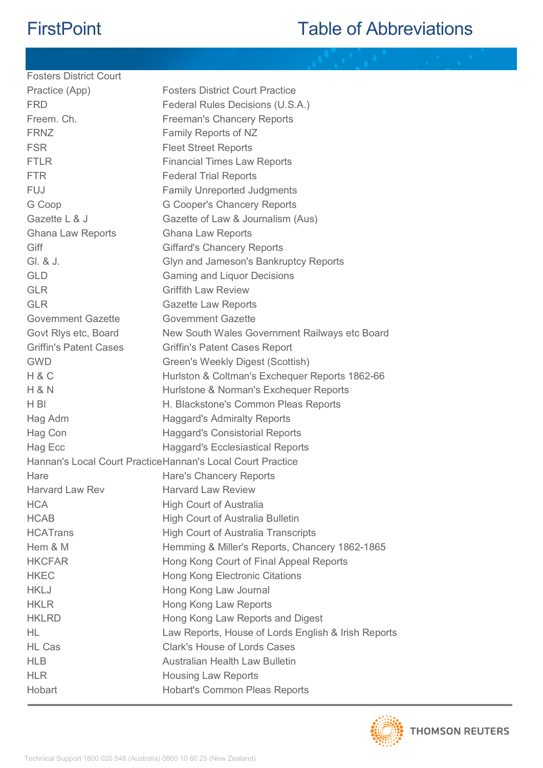| <b>Fosters District Court</b> |                                                             |
|-------------------------------|-------------------------------------------------------------|
| Practice (App)                | <b>Fosters District Court Practice</b>                      |
| <b>FRD</b>                    | Federal Rules Decisions (U.S.A.)                            |
| Freem. Ch.                    | <b>Freeman's Chancery Reports</b>                           |
| <b>FRNZ</b>                   | Family Reports of NZ                                        |
| <b>FSR</b>                    | <b>Fleet Street Reports</b>                                 |
| <b>FTLR</b>                   | <b>Financial Times Law Reports</b>                          |
| <b>FTR</b>                    | <b>Federal Trial Reports</b>                                |
| <b>FUJ</b>                    | <b>Family Unreported Judgments</b>                          |
| G Coop                        | <b>G Cooper's Chancery Reports</b>                          |
| Gazette L & J                 | Gazette of Law & Journalism (Aus)                           |
| <b>Ghana Law Reports</b>      | <b>Ghana Law Reports</b>                                    |
| Giff                          | <b>Giffard's Chancery Reports</b>                           |
| GI. & J.                      | Glyn and Jameson's Bankruptcy Reports                       |
| <b>GLD</b>                    | <b>Gaming and Liquor Decisions</b>                          |
| <b>GLR</b>                    | <b>Griffith Law Review</b>                                  |
| <b>GLR</b>                    | <b>Gazette Law Reports</b>                                  |
| Government Gazette            | <b>Government Gazette</b>                                   |
| Govt Rlys etc, Board          | New South Wales Government Railways etc Board               |
| <b>Griffin's Patent Cases</b> | <b>Griffin's Patent Cases Report</b>                        |
| <b>GWD</b>                    | Green's Weekly Digest (Scottish)                            |
| H & C                         | Hurlston & Coltman's Exchequer Reports 1862-66              |
| <b>H &amp; N</b>              | Hurlstone & Norman's Exchequer Reports                      |
| H BI                          | H. Blackstone's Common Pleas Reports                        |
| Hag Adm                       | <b>Haggard's Admiralty Reports</b>                          |
| Hag Con                       | <b>Haggard's Consistorial Reports</b>                       |
| Hag Ecc                       | <b>Haggard's Ecclesiastical Reports</b>                     |
|                               | Hannan's Local Court Practice Hannan's Local Court Practice |
| Hare                          | Hare's Chancery Reports                                     |
| <b>Harvard Law Rev</b>        | <b>Harvard Law Review</b>                                   |
| <b>HCA</b>                    | <b>High Court of Australia</b>                              |
| <b>HCAB</b>                   | <b>High Court of Australia Bulletin</b>                     |
| <b>HCATrans</b>               | <b>High Court of Australia Transcripts</b>                  |
| Hem & M                       | Hemming & Miller's Reports, Chancery 1862-1865              |
| <b>HKCFAR</b>                 | Hong Kong Court of Final Appeal Reports                     |
| <b>HKEC</b>                   | Hong Kong Electronic Citations                              |
| <b>HKLJ</b>                   | Hong Kong Law Journal                                       |
| <b>HKLR</b>                   | Hong Kong Law Reports                                       |
| <b>HKLRD</b>                  | Hong Kong Law Reports and Digest                            |
| HL                            | Law Reports, House of Lords English & Irish Reports         |
| <b>HL Cas</b>                 | <b>Clark's House of Lords Cases</b>                         |
| <b>HLB</b>                    | <b>Australian Health Law Bulletin</b>                       |
| <b>HLR</b>                    | <b>Housing Law Reports</b>                                  |
| Hobart                        | <b>Hobart's Common Pleas Reports</b>                        |
|                               |                                                             |

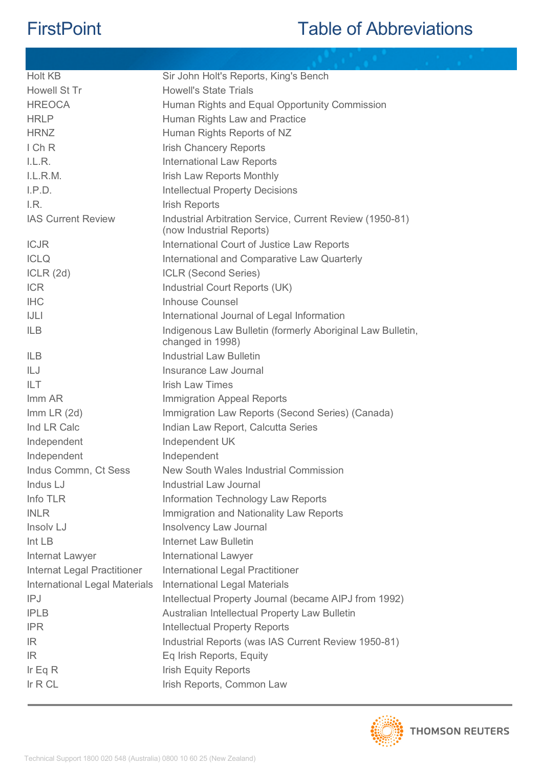| <b>Holt KB</b>                | Sir John Holt's Reports, King's Bench                                                |
|-------------------------------|--------------------------------------------------------------------------------------|
| Howell St Tr                  | <b>Howell's State Trials</b>                                                         |
| <b>HREOCA</b>                 | Human Rights and Equal Opportunity Commission                                        |
| <b>HRLP</b>                   | Human Rights Law and Practice                                                        |
| <b>HRNZ</b>                   | Human Rights Reports of NZ                                                           |
| IChR                          | <b>Irish Chancery Reports</b>                                                        |
| LLR.                          | <b>International Law Reports</b>                                                     |
| L.L.R.M.                      | Irish Law Reports Monthly                                                            |
| I.P.D.                        | <b>Intellectual Property Decisions</b>                                               |
| LR.                           | <b>Irish Reports</b>                                                                 |
| <b>IAS Current Review</b>     | Industrial Arbitration Service, Current Review (1950-81)<br>(now Industrial Reports) |
| <b>ICJR</b>                   | International Court of Justice Law Reports                                           |
| <b>ICLQ</b>                   | International and Comparative Law Quarterly                                          |
| ICLR(2d)                      | <b>ICLR (Second Series)</b>                                                          |
| <b>ICR</b>                    | Industrial Court Reports (UK)                                                        |
| <b>IHC</b>                    | <b>Inhouse Counsel</b>                                                               |
| JL                            | International Journal of Legal Information                                           |
| <b>ILB</b>                    | Indigenous Law Bulletin (formerly Aboriginal Law Bulletin,<br>changed in 1998)       |
| <b>ILB</b>                    | <b>Industrial Law Bulletin</b>                                                       |
| ILJ                           | Insurance Law Journal                                                                |
| <b>ILT</b>                    | <b>Irish Law Times</b>                                                               |
| Imm AR                        | <b>Immigration Appeal Reports</b>                                                    |
| $Imm$ LR $(2d)$               | Immigration Law Reports (Second Series) (Canada)                                     |
| Ind LR Calc                   | Indian Law Report, Calcutta Series                                                   |
| Independent                   | Independent UK                                                                       |
| Independent                   | Independent                                                                          |
| Indus Commn, Ct Sess          | New South Wales Industrial Commission                                                |
| Indus LJ                      | <b>Industrial Law Journal</b>                                                        |
| Info TLR                      | Information Technology Law Reports                                                   |
| <b>INLR</b>                   | Immigration and Nationality Law Reports                                              |
| Insolv LJ                     | <b>Insolvency Law Journal</b>                                                        |
| Int LB                        | <b>Internet Law Bulletin</b>                                                         |
| Internat Lawyer               | <b>International Lawyer</b>                                                          |
| Internat Legal Practitioner   | <b>International Legal Practitioner</b>                                              |
| International Legal Materials | <b>International Legal Materials</b>                                                 |
| IPJ                           | Intellectual Property Journal (became AIPJ from 1992)                                |
| <b>IPLB</b>                   | Australian Intellectual Property Law Bulletin                                        |
| <b>IPR</b>                    | <b>Intellectual Property Reports</b>                                                 |
| IR.                           | Industrial Reports (was IAS Current Review 1950-81)                                  |
| IR.                           | Eq Irish Reports, Equity                                                             |
| Ir Eq $R$                     | <b>Irish Equity Reports</b>                                                          |
| Ir $R$ CL                     | Irish Reports, Common Law                                                            |
|                               |                                                                                      |

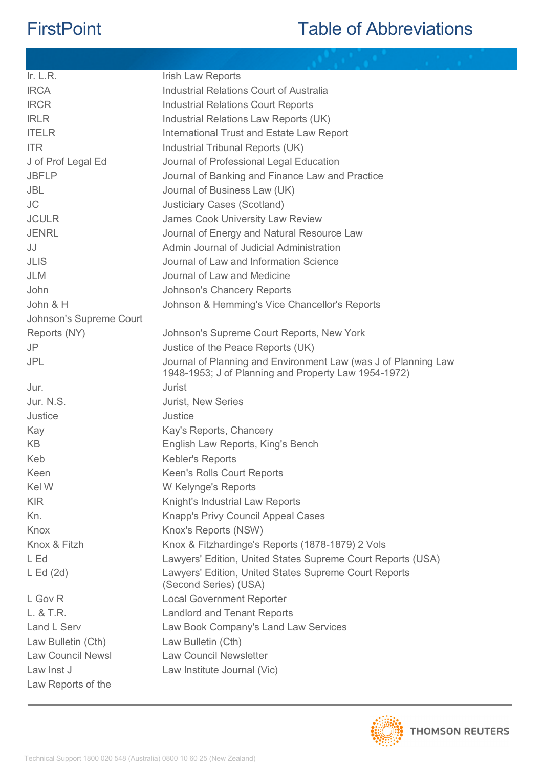| Ir. $L.R.$               | <b>Irish Law Reports</b>                                                                                               |
|--------------------------|------------------------------------------------------------------------------------------------------------------------|
| <b>IRCA</b>              | Industrial Relations Court of Australia                                                                                |
| <b>IRCR</b>              | <b>Industrial Relations Court Reports</b>                                                                              |
| <b>IRLR</b>              | Industrial Relations Law Reports (UK)                                                                                  |
| <b>ITELR</b>             | International Trust and Estate Law Report                                                                              |
| <b>ITR</b>               | Industrial Tribunal Reports (UK)                                                                                       |
| J of Prof Legal Ed       | Journal of Professional Legal Education                                                                                |
| <b>JBFLP</b>             | Journal of Banking and Finance Law and Practice                                                                        |
| <b>JBL</b>               | Journal of Business Law (UK)                                                                                           |
| <b>JC</b>                | <b>Justiciary Cases (Scotland)</b>                                                                                     |
| <b>JCULR</b>             | <b>James Cook University Law Review</b>                                                                                |
| <b>JENRL</b>             | Journal of Energy and Natural Resource Law                                                                             |
| JJ                       | Admin Journal of Judicial Administration                                                                               |
| <b>JLIS</b>              | Journal of Law and Information Science                                                                                 |
| <b>JLM</b>               | Journal of Law and Medicine                                                                                            |
| John                     | <b>Johnson's Chancery Reports</b>                                                                                      |
| John & H                 | Johnson & Hemming's Vice Chancellor's Reports                                                                          |
| Johnson's Supreme Court  |                                                                                                                        |
| Reports (NY)             | Johnson's Supreme Court Reports, New York                                                                              |
| <b>JP</b>                | Justice of the Peace Reports (UK)                                                                                      |
| <b>JPL</b>               | Journal of Planning and Environment Law (was J of Planning Law<br>1948-1953; J of Planning and Property Law 1954-1972) |
| Jur.                     | <b>Jurist</b>                                                                                                          |
| Jur. N.S.                | <b>Jurist, New Series</b>                                                                                              |
| Justice                  | Justice                                                                                                                |
| Kay                      | Kay's Reports, Chancery                                                                                                |
| <b>KB</b>                | English Law Reports, King's Bench                                                                                      |
| Keb                      | <b>Kebler's Reports</b>                                                                                                |
| Keen                     | Keen's Rolls Court Reports                                                                                             |
| Kel W                    | W Kelynge's Reports                                                                                                    |
| <b>KIR</b>               | Knight's Industrial Law Reports                                                                                        |
| Kn.                      | Knapp's Privy Council Appeal Cases                                                                                     |
| Knox                     | Knox's Reports (NSW)                                                                                                   |
| Knox & Fitzh             | Knox & Fitzhardinge's Reports (1878-1879) 2 Vols                                                                       |
| L Ed                     | Lawyers' Edition, United States Supreme Court Reports (USA)                                                            |
| $L \text{ Ed} (2d)$      | Lawyers' Edition, United States Supreme Court Reports<br>(Second Series) (USA)                                         |
| L Gov R                  | <b>Local Government Reporter</b>                                                                                       |
| L. & T.R.                | <b>Landlord and Tenant Reports</b>                                                                                     |
| Land L Serv              | Law Book Company's Land Law Services                                                                                   |
| Law Bulletin (Cth)       | Law Bulletin (Cth)                                                                                                     |
| <b>Law Council Newsl</b> | <b>Law Council Newsletter</b>                                                                                          |
| Law Inst J               | Law Institute Journal (Vic)                                                                                            |
| Law Reports of the       |                                                                                                                        |

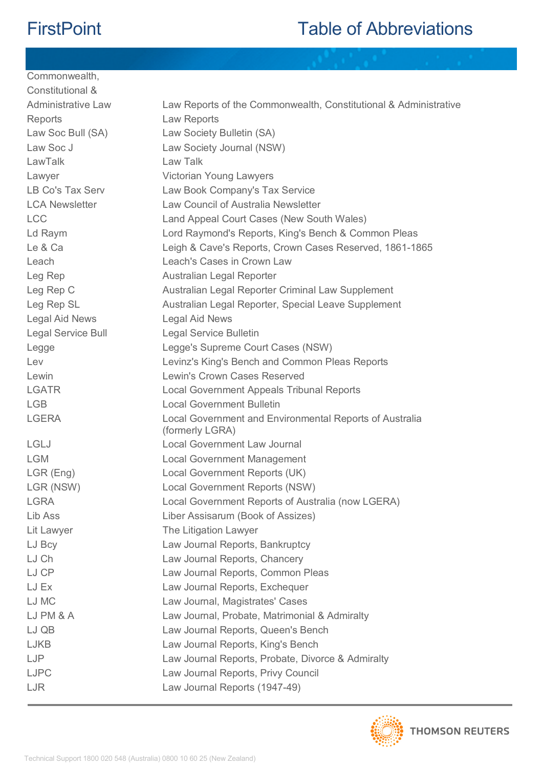Commonwealth,

| Constitutional &          |                                                                            |
|---------------------------|----------------------------------------------------------------------------|
| <b>Administrative Law</b> | Law Reports of the Commonwealth, Constitutional & Administrative           |
| Reports                   | Law Reports                                                                |
| Law Soc Bull (SA)         | Law Society Bulletin (SA)                                                  |
| Law Soc J                 | Law Society Journal (NSW)                                                  |
| LawTalk                   | Law Talk                                                                   |
| Lawyer                    | Victorian Young Lawyers                                                    |
| LB Co's Tax Serv          | Law Book Company's Tax Service                                             |
| <b>LCA Newsletter</b>     | Law Council of Australia Newsletter                                        |
| <b>LCC</b>                | Land Appeal Court Cases (New South Wales)                                  |
| Ld Raym                   | Lord Raymond's Reports, King's Bench & Common Pleas                        |
| Le & Ca                   | Leigh & Cave's Reports, Crown Cases Reserved, 1861-1865                    |
| Leach                     | Leach's Cases in Crown Law                                                 |
| Leg Rep                   | Australian Legal Reporter                                                  |
| Leg Rep C                 | Australian Legal Reporter Criminal Law Supplement                          |
| Leg Rep SL                | Australian Legal Reporter, Special Leave Supplement                        |
| <b>Legal Aid News</b>     | Legal Aid News                                                             |
| Legal Service Bull        | <b>Legal Service Bulletin</b>                                              |
| Legge                     | Legge's Supreme Court Cases (NSW)                                          |
| Lev                       | Levinz's King's Bench and Common Pleas Reports                             |
| Lewin                     | Lewin's Crown Cases Reserved                                               |
| <b>LGATR</b>              | Local Government Appeals Tribunal Reports                                  |
| <b>LGB</b>                | <b>Local Government Bulletin</b>                                           |
| <b>LGERA</b>              | Local Government and Environmental Reports of Australia<br>(formerly LGRA) |
| <b>LGLJ</b>               | <b>Local Government Law Journal</b>                                        |
| <b>LGM</b>                | <b>Local Government Management</b>                                         |
| LGR (Eng)                 | Local Government Reports (UK)                                              |
| LGR (NSW)                 | Local Government Reports (NSW)                                             |
| <b>LGRA</b>               | Local Government Reports of Australia (now LGERA)                          |
| Lib Ass                   | Liber Assisarum (Book of Assizes)                                          |
| Lit Lawyer                | The Litigation Lawyer                                                      |
| LJ Bcy                    | Law Journal Reports, Bankruptcy                                            |
| LJ Ch                     | Law Journal Reports, Chancery                                              |
| LJ CP                     | Law Journal Reports, Common Pleas                                          |
| LJ Ex                     | Law Journal Reports, Exchequer                                             |
| LJ MC                     | Law Journal, Magistrates' Cases                                            |
| LJ PM & A                 | Law Journal, Probate, Matrimonial & Admiralty                              |
| LJ QB                     | Law Journal Reports, Queen's Bench                                         |
| <b>LJKB</b>               | Law Journal Reports, King's Bench                                          |
| LJP                       | Law Journal Reports, Probate, Divorce & Admiralty                          |
| <b>LJPC</b>               | Law Journal Reports, Privy Council                                         |
| LJR                       | Law Journal Reports (1947-49)                                              |
|                           |                                                                            |

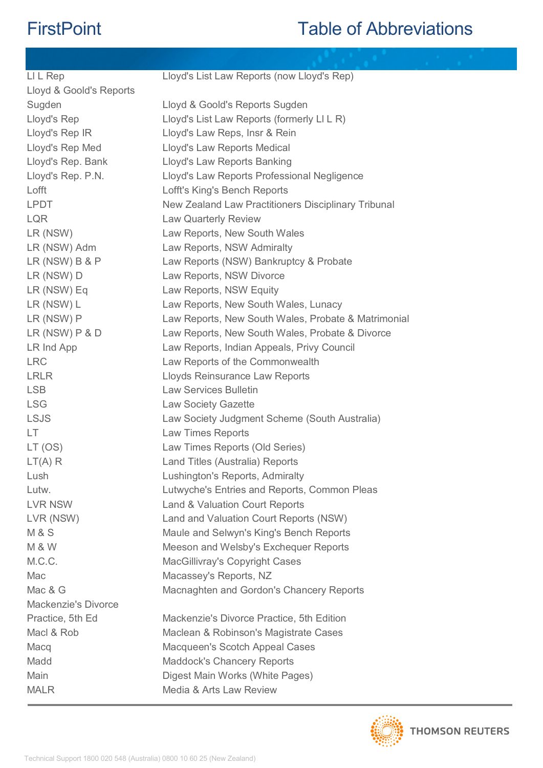| LI L Rep                | Lloyd's List Law Reports (now Lloyd's Rep)          |
|-------------------------|-----------------------------------------------------|
| Lloyd & Goold's Reports |                                                     |
| Sugden                  | Lloyd & Goold's Reports Sugden                      |
| Lloyd's Rep             | Lloyd's List Law Reports (formerly LI L R)          |
| Lloyd's Rep IR          | Lloyd's Law Reps, Insr & Rein                       |
| Lloyd's Rep Med         | Lloyd's Law Reports Medical                         |
| Lloyd's Rep. Bank       | Lloyd's Law Reports Banking                         |
| Lloyd's Rep. P.N.       | Lloyd's Law Reports Professional Negligence         |
| Lofft                   | Lofft's King's Bench Reports                        |
| <b>LPDT</b>             | New Zealand Law Practitioners Disciplinary Tribunal |
| <b>LQR</b>              | <b>Law Quarterly Review</b>                         |
| LR (NSW)                | Law Reports, New South Wales                        |
| LR (NSW) Adm            | Law Reports, NSW Admiralty                          |
| $LR$ (NSW) $B$ & $P$    | Law Reports (NSW) Bankruptcy & Probate              |
| LR (NSW) D              | Law Reports, NSW Divorce                            |
| LR (NSW) Eq             | Law Reports, NSW Equity                             |
| LR (NSW) L              | Law Reports, New South Wales, Lunacy                |
| LR (NSW) P              | Law Reports, New South Wales, Probate & Matrimonial |
| $LR$ (NSW) $P$ & D      | Law Reports, New South Wales, Probate & Divorce     |
| LR Ind App              | Law Reports, Indian Appeals, Privy Council          |
| <b>LRC</b>              | Law Reports of the Commonwealth                     |
| <b>LRLR</b>             | Lloyds Reinsurance Law Reports                      |
| <b>LSB</b>              | <b>Law Services Bulletin</b>                        |
| <b>LSG</b>              | <b>Law Society Gazette</b>                          |
| <b>LSJS</b>             | Law Society Judgment Scheme (South Australia)       |
| LT                      | Law Times Reports                                   |
| LT (OS)                 | Law Times Reports (Old Series)                      |
| LT(A) R                 | Land Titles (Australia) Reports                     |
| Lush                    | Lushington's Reports, Admiralty                     |
| Lutw.                   | Lutwyche's Entries and Reports, Common Pleas        |
| <b>LVR NSW</b>          | Land & Valuation Court Reports                      |
| LVR (NSW)               | Land and Valuation Court Reports (NSW)              |
| <b>M&amp;S</b>          | Maule and Selwyn's King's Bench Reports             |
| <b>M &amp; W</b>        | Meeson and Welsby's Exchequer Reports               |
| M.C.C.                  | MacGillivray's Copyright Cases                      |
| Mac                     | Macassey's Reports, NZ                              |
| Mac & G                 | Macnaghten and Gordon's Chancery Reports            |
| Mackenzie's Divorce     |                                                     |
| Practice, 5th Ed        | Mackenzie's Divorce Practice, 5th Edition           |
| Macl & Rob              | Maclean & Robinson's Magistrate Cases               |
| Macq                    | Macqueen's Scotch Appeal Cases                      |
| Madd                    | <b>Maddock's Chancery Reports</b>                   |
| Main                    | Digest Main Works (White Pages)                     |
| <b>MALR</b>             | Media & Arts Law Review                             |
|                         |                                                     |

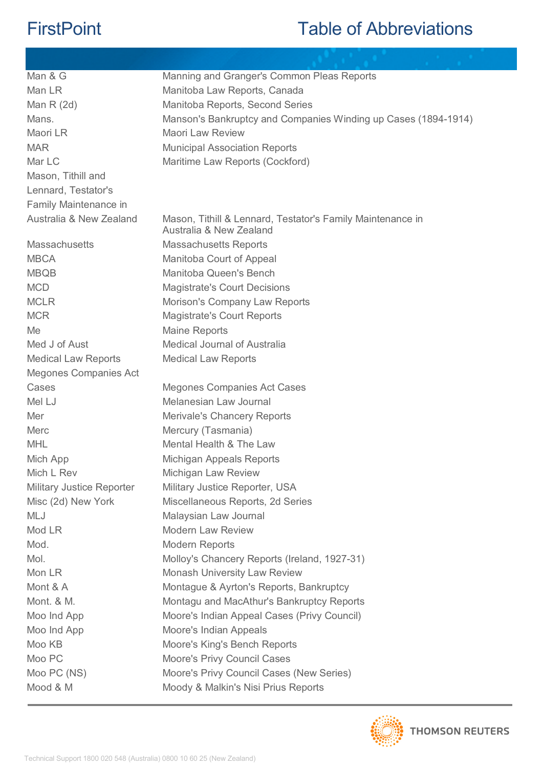| Man & G                          | Manning and Granger's Common Pleas Reports                                            |
|----------------------------------|---------------------------------------------------------------------------------------|
| Man LR                           | Manitoba Law Reports, Canada                                                          |
| Man $R(2d)$                      | Manitoba Reports, Second Series                                                       |
| Mans.                            | Manson's Bankruptcy and Companies Winding up Cases (1894-1914)                        |
| Maori LR                         | <b>Maori Law Review</b>                                                               |
| <b>MAR</b>                       | <b>Municipal Association Reports</b>                                                  |
| Mar LC                           | Maritime Law Reports (Cockford)                                                       |
| Mason, Tithill and               |                                                                                       |
| Lennard, Testator's              |                                                                                       |
| Family Maintenance in            |                                                                                       |
| Australia & New Zealand          | Mason, Tithill & Lennard, Testator's Family Maintenance in<br>Australia & New Zealand |
| <b>Massachusetts</b>             | <b>Massachusetts Reports</b>                                                          |
| <b>MBCA</b>                      | Manitoba Court of Appeal                                                              |
| <b>MBQB</b>                      | Manitoba Queen's Bench                                                                |
| <b>MCD</b>                       | <b>Magistrate's Court Decisions</b>                                                   |
| <b>MCLR</b>                      | Morison's Company Law Reports                                                         |
| <b>MCR</b>                       | <b>Magistrate's Court Reports</b>                                                     |
| Me                               | <b>Maine Reports</b>                                                                  |
| Med J of Aust                    | Medical Journal of Australia                                                          |
| <b>Medical Law Reports</b>       | <b>Medical Law Reports</b>                                                            |
| Megones Companies Act            |                                                                                       |
| Cases                            | <b>Megones Companies Act Cases</b>                                                    |
| Mel LJ                           | Melanesian Law Journal                                                                |
| Mer                              | Merivale's Chancery Reports                                                           |
| Merc                             | Mercury (Tasmania)                                                                    |
| <b>MHL</b>                       | Mental Health & The Law                                                               |
| Mich App                         | Michigan Appeals Reports                                                              |
| Mich L Rev                       | Michigan Law Review                                                                   |
| <b>Military Justice Reporter</b> | Military Justice Reporter, USA                                                        |
| Misc (2d) New York               | Miscellaneous Reports, 2d Series                                                      |
| <b>MLJ</b>                       | Malaysian Law Journal                                                                 |
| Mod LR                           | <b>Modern Law Review</b>                                                              |
| Mod.                             | <b>Modern Reports</b>                                                                 |
| Mol.                             | Molloy's Chancery Reports (Ireland, 1927-31)                                          |
| Mon LR                           | <b>Monash University Law Review</b>                                                   |
| Mont & A                         | Montague & Ayrton's Reports, Bankruptcy                                               |
| Mont. & M.                       | Montagu and MacAthur's Bankruptcy Reports                                             |
| Moo Ind App                      | Moore's Indian Appeal Cases (Privy Council)                                           |
| Moo Ind App                      | Moore's Indian Appeals                                                                |
| Moo KB                           | Moore's King's Bench Reports                                                          |
| Moo PC                           | <b>Moore's Privy Council Cases</b>                                                    |
| Moo PC (NS)                      | Moore's Privy Council Cases (New Series)                                              |
| Mood & M                         | Moody & Malkin's Nisi Prius Reports                                                   |

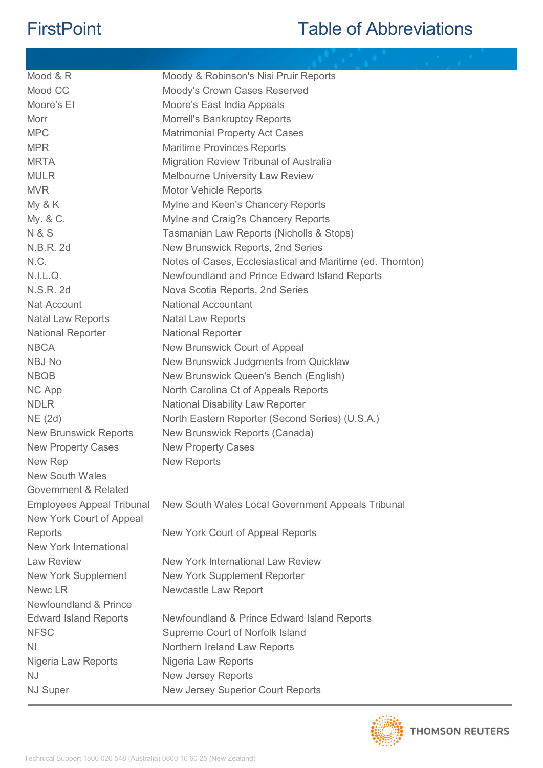| Mood & R                         | Moody & Robinson's Nisi Pruir Reports                      |
|----------------------------------|------------------------------------------------------------|
| Mood CC                          | Moody's Crown Cases Reserved                               |
| Moore's El                       | Moore's East India Appeals                                 |
| Morr                             | <b>Morrell's Bankruptcy Reports</b>                        |
| <b>MPC</b>                       | <b>Matrimonial Property Act Cases</b>                      |
| <b>MPR</b>                       | <b>Maritime Provinces Reports</b>                          |
| <b>MRTA</b>                      | Migration Review Tribunal of Australia                     |
| <b>MULR</b>                      | <b>Melbourne University Law Review</b>                     |
| <b>MVR</b>                       | <b>Motor Vehicle Reports</b>                               |
| My & K                           | Mylne and Keen's Chancery Reports                          |
| My. & C.                         | Mylne and Craig?s Chancery Reports                         |
| <b>N&amp;S</b>                   | Tasmanian Law Reports (Nicholls & Stops)                   |
| N.B.R. 2d                        | New Brunswick Reports, 2nd Series                          |
| N.C.                             | Notes of Cases, Ecclesiastical and Maritime (ed. Thornton) |
| N.I.L.Q.                         | Newfoundland and Prince Edward Island Reports              |
| N.S.R. 2d                        | Nova Scotia Reports, 2nd Series                            |
| Nat Account                      | <b>National Accountant</b>                                 |
| <b>Natal Law Reports</b>         | <b>Natal Law Reports</b>                                   |
| <b>National Reporter</b>         | <b>National Reporter</b>                                   |
| <b>NBCA</b>                      | New Brunswick Court of Appeal                              |
| <b>NBJ No</b>                    | New Brunswick Judgments from Quicklaw                      |
| <b>NBQB</b>                      | New Brunswick Queen's Bench (English)                      |
| NC App                           | North Carolina Ct of Appeals Reports                       |
| <b>NDLR</b>                      | <b>National Disability Law Reporter</b>                    |
| NE (2d)                          | North Eastern Reporter (Second Series) (U.S.A.)            |
| <b>New Brunswick Reports</b>     | New Brunswick Reports (Canada)                             |
| <b>New Property Cases</b>        | <b>New Property Cases</b>                                  |
| New Rep                          | <b>New Reports</b>                                         |
| <b>New South Wales</b>           |                                                            |
| Government & Related             |                                                            |
| <b>Employees Appeal Tribunal</b> | New South Wales Local Government Appeals Tribunal          |
| New York Court of Appeal         |                                                            |
| Reports                          | New York Court of Appeal Reports                           |
| New York International           |                                                            |
| <b>Law Review</b>                | <b>New York International Law Review</b>                   |
| <b>New York Supplement</b>       | New York Supplement Reporter                               |
| Newc LR                          | Newcastle Law Report                                       |
| Newfoundland & Prince            |                                                            |
| <b>Edward Island Reports</b>     | Newfoundland & Prince Edward Island Reports                |
| <b>NFSC</b>                      | Supreme Court of Norfolk Island                            |
| <b>NI</b>                        | Northern Ireland Law Reports                               |
| Nigeria Law Reports              | Nigeria Law Reports                                        |
| <b>NJ</b>                        | <b>New Jersey Reports</b>                                  |
| <b>NJ Super</b>                  | <b>New Jersey Superior Court Reports</b>                   |
|                                  |                                                            |

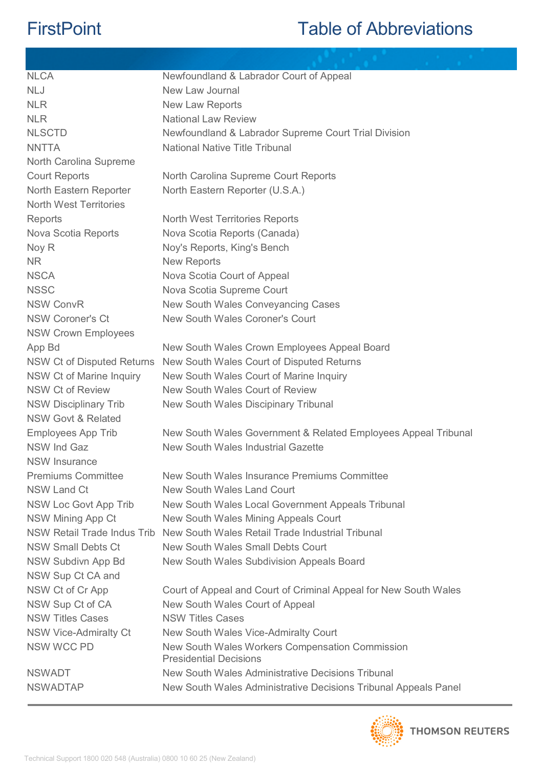| <b>NLCA</b>                   | Newfoundland & Labrador Court of Appeal                                          |
|-------------------------------|----------------------------------------------------------------------------------|
| <b>NLJ</b>                    | New Law Journal                                                                  |
| <b>NLR</b>                    | New Law Reports                                                                  |
| <b>NLR</b>                    | <b>National Law Review</b>                                                       |
| <b>NLSCTD</b>                 | Newfoundland & Labrador Supreme Court Trial Division                             |
| <b>NNTTA</b>                  | <b>National Native Title Tribunal</b>                                            |
| North Carolina Supreme        |                                                                                  |
| <b>Court Reports</b>          | North Carolina Supreme Court Reports                                             |
| North Eastern Reporter        | North Eastern Reporter (U.S.A.)                                                  |
| <b>North West Territories</b> |                                                                                  |
| Reports                       | <b>North West Territories Reports</b>                                            |
| Nova Scotia Reports           | Nova Scotia Reports (Canada)                                                     |
| Noy R                         | Noy's Reports, King's Bench                                                      |
| <b>NR</b>                     | <b>New Reports</b>                                                               |
| <b>NSCA</b>                   | Nova Scotia Court of Appeal                                                      |
| <b>NSSC</b>                   | Nova Scotia Supreme Court                                                        |
| <b>NSW ConvR</b>              | New South Wales Conveyancing Cases                                               |
| <b>NSW Coroner's Ct</b>       | New South Wales Coroner's Court                                                  |
| <b>NSW Crown Employees</b>    |                                                                                  |
| App Bd                        | New South Wales Crown Employees Appeal Board                                     |
| NSW Ct of Disputed Returns    | New South Wales Court of Disputed Returns                                        |
| NSW Ct of Marine Inquiry      | New South Wales Court of Marine Inquiry                                          |
| <b>NSW Ct of Review</b>       | New South Wales Court of Review                                                  |
| <b>NSW Disciplinary Trib</b>  | New South Wales Discipinary Tribunal                                             |
| <b>NSW Govt &amp; Related</b> |                                                                                  |
| <b>Employees App Trib</b>     | New South Wales Government & Related Employees Appeal Tribunal                   |
| <b>NSW Ind Gaz</b>            | New South Wales Industrial Gazette                                               |
| <b>NSW Insurance</b>          |                                                                                  |
| <b>Premiums Committee</b>     | New South Wales Insurance Premiums Committee                                     |
| <b>NSW Land Ct</b>            | New South Wales Land Court                                                       |
| NSW Loc Govt App Trib         | New South Wales Local Government Appeals Tribunal                                |
| <b>NSW Mining App Ct</b>      | New South Wales Mining Appeals Court                                             |
| NSW Retail Trade Indus Trib   | New South Wales Retail Trade Industrial Tribunal                                 |
| <b>NSW Small Debts Ct</b>     | New South Wales Small Debts Court                                                |
| NSW Subdivn App Bd            | New South Wales Subdivision Appeals Board                                        |
| NSW Sup Ct CA and             |                                                                                  |
| NSW Ct of Cr App              | Court of Appeal and Court of Criminal Appeal for New South Wales                 |
| NSW Sup Ct of CA              | New South Wales Court of Appeal                                                  |
| <b>NSW Titles Cases</b>       | <b>NSW Titles Cases</b>                                                          |
| <b>NSW Vice-Admiralty Ct</b>  | New South Wales Vice-Admiralty Court                                             |
| <b>NSW WCC PD</b>             | New South Wales Workers Compensation Commission<br><b>Presidential Decisions</b> |
| <b>NSWADT</b>                 | New South Wales Administrative Decisions Tribunal                                |
| <b>NSWADTAP</b>               | New South Wales Administrative Decisions Tribunal Appeals Panel                  |
|                               |                                                                                  |

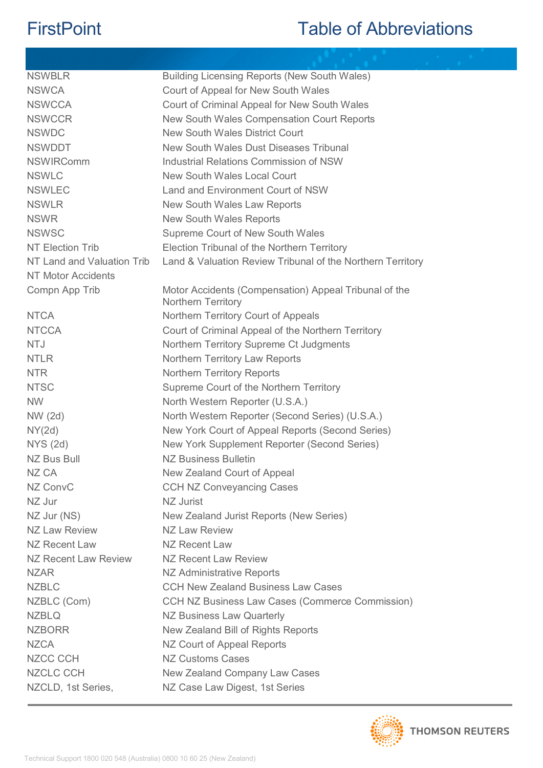| <b>NSWBLR</b>              | Building Licensing Reports (New South Wales)                                |
|----------------------------|-----------------------------------------------------------------------------|
| <b>NSWCA</b>               | Court of Appeal for New South Wales                                         |
| <b>NSWCCA</b>              | Court of Criminal Appeal for New South Wales                                |
| <b>NSWCCR</b>              | New South Wales Compensation Court Reports                                  |
| <b>NSWDC</b>               | <b>New South Wales District Court</b>                                       |
| <b>NSWDDT</b>              | New South Wales Dust Diseases Tribunal                                      |
| <b>NSWIRComm</b>           | Industrial Relations Commission of NSW                                      |
| <b>NSWLC</b>               | <b>New South Wales Local Court</b>                                          |
| <b>NSWLEC</b>              | Land and Environment Court of NSW                                           |
| <b>NSWLR</b>               | New South Wales Law Reports                                                 |
| <b>NSWR</b>                | <b>New South Wales Reports</b>                                              |
| <b>NSWSC</b>               | Supreme Court of New South Wales                                            |
| <b>NT Election Trib</b>    | Election Tribunal of the Northern Territory                                 |
| NT Land and Valuation Trib | Land & Valuation Review Tribunal of the Northern Territory                  |
| <b>NT Motor Accidents</b>  |                                                                             |
| Compn App Trib             | Motor Accidents (Compensation) Appeal Tribunal of the<br>Northern Territory |
| <b>NTCA</b>                | Northern Territory Court of Appeals                                         |
| <b>NTCCA</b>               | Court of Criminal Appeal of the Northern Territory                          |
| <b>NTJ</b>                 | Northern Territory Supreme Ct Judgments                                     |
| <b>NTLR</b>                | Northern Territory Law Reports                                              |
| <b>NTR</b>                 | <b>Northern Territory Reports</b>                                           |
| <b>NTSC</b>                | Supreme Court of the Northern Territory                                     |
| <b>NW</b>                  | North Western Reporter (U.S.A.)                                             |
| NW (2d)                    | North Western Reporter (Second Series) (U.S.A.)                             |
| NY(2d)                     | New York Court of Appeal Reports (Second Series)                            |
| <b>NYS (2d)</b>            | New York Supplement Reporter (Second Series)                                |
| <b>NZ Bus Bull</b>         | <b>NZ Business Bulletin</b>                                                 |
| NZ CA                      | New Zealand Court of Appeal                                                 |
| NZ ConvC                   | <b>CCH NZ Conveyancing Cases</b>                                            |
| NZ Jur                     | NZ Jurist                                                                   |
| NZ Jur (NS)                | New Zealand Jurist Reports (New Series)                                     |
| <b>NZ Law Review</b>       | <b>NZ Law Review</b>                                                        |
| NZ Recent Law              | NZ Recent Law                                                               |
| NZ Recent Law Review       | NZ Recent Law Review                                                        |
| <b>NZAR</b>                | NZ Administrative Reports                                                   |
| <b>NZBLC</b>               | <b>CCH New Zealand Business Law Cases</b>                                   |
| NZBLC (Com)                | CCH NZ Business Law Cases (Commerce Commission)                             |
| <b>NZBLQ</b>               | NZ Business Law Quarterly                                                   |
| <b>NZBORR</b>              | New Zealand Bill of Rights Reports                                          |
| <b>NZCA</b>                | NZ Court of Appeal Reports                                                  |
| <b>NZCC CCH</b>            | <b>NZ Customs Cases</b>                                                     |
| <b>NZCLC CCH</b>           | New Zealand Company Law Cases                                               |
| NZCLD, 1st Series,         | NZ Case Law Digest, 1st Series                                              |

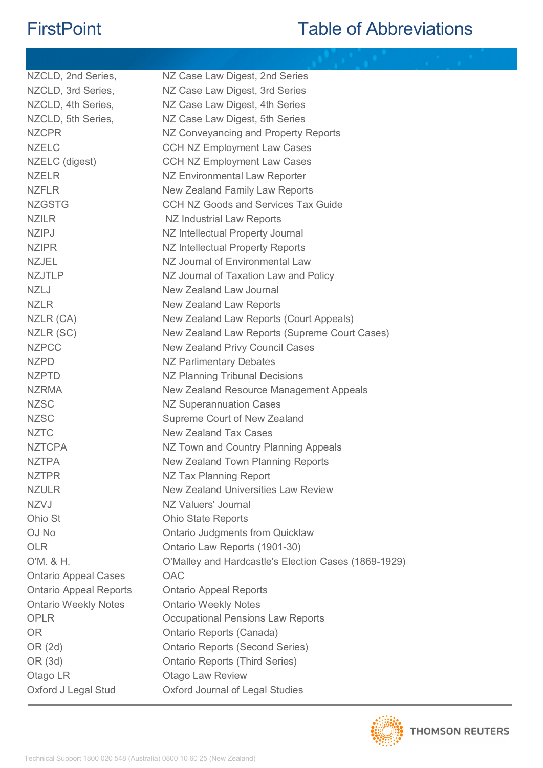| NZCLD, 2nd Series,            | NZ Case Law Digest, 2nd Series                       |
|-------------------------------|------------------------------------------------------|
| NZCLD, 3rd Series,            | NZ Case Law Digest, 3rd Series                       |
| NZCLD, 4th Series,            | NZ Case Law Digest, 4th Series                       |
| NZCLD, 5th Series,            | NZ Case Law Digest, 5th Series                       |
| <b>NZCPR</b>                  | NZ Conveyancing and Property Reports                 |
| <b>NZELC</b>                  | <b>CCH NZ Employment Law Cases</b>                   |
| NZELC (digest)                | <b>CCH NZ Employment Law Cases</b>                   |
| <b>NZELR</b>                  | <b>NZ Environmental Law Reporter</b>                 |
| <b>NZFLR</b>                  | New Zealand Family Law Reports                       |
| <b>NZGSTG</b>                 | <b>CCH NZ Goods and Services Tax Guide</b>           |
| <b>NZILR</b>                  | NZ Industrial Law Reports                            |
| <b>NZIPJ</b>                  | NZ Intellectual Property Journal                     |
| <b>NZIPR</b>                  | NZ Intellectual Property Reports                     |
| <b>NZJEL</b>                  | NZ Journal of Environmental Law                      |
| <b>NZJTLP</b>                 | NZ Journal of Taxation Law and Policy                |
| <b>NZLJ</b>                   | New Zealand Law Journal                              |
| <b>NZLR</b>                   | New Zealand Law Reports                              |
| NZLR (CA)                     | New Zealand Law Reports (Court Appeals)              |
| NZLR (SC)                     | New Zealand Law Reports (Supreme Court Cases)        |
| <b>NZPCC</b>                  | <b>New Zealand Privy Council Cases</b>               |
| <b>NZPD</b>                   | <b>NZ Parlimentary Debates</b>                       |
| <b>NZPTD</b>                  | <b>NZ Planning Tribunal Decisions</b>                |
| <b>NZRMA</b>                  | New Zealand Resource Management Appeals              |
| <b>NZSC</b>                   | <b>NZ Superannuation Cases</b>                       |
| <b>NZSC</b>                   | Supreme Court of New Zealand                         |
| <b>NZTC</b>                   | <b>New Zealand Tax Cases</b>                         |
| <b>NZTCPA</b>                 | NZ Town and Country Planning Appeals                 |
| <b>NZTPA</b>                  | New Zealand Town Planning Reports                    |
| <b>NZTPR</b>                  | NZ Tax Planning Report                               |
| <b>NZULR</b>                  | <b>New Zealand Universities Law Review</b>           |
| <b>NZVJ</b>                   | NZ Valuers' Journal                                  |
| Ohio St                       | <b>Ohio State Reports</b>                            |
| OJ No                         | <b>Ontario Judgments from Quicklaw</b>               |
| <b>OLR</b>                    | Ontario Law Reports (1901-30)                        |
| O'M. & H.                     | O'Malley and Hardcastle's Election Cases (1869-1929) |
| <b>Ontario Appeal Cases</b>   | <b>OAC</b>                                           |
| <b>Ontario Appeal Reports</b> | <b>Ontario Appeal Reports</b>                        |
| <b>Ontario Weekly Notes</b>   | <b>Ontario Weekly Notes</b>                          |
| <b>OPLR</b>                   | Occupational Pensions Law Reports                    |
| <b>OR</b>                     | Ontario Reports (Canada)                             |
| OR (2d)                       | <b>Ontario Reports (Second Series)</b>               |
| OR (3d)                       | <b>Ontario Reports (Third Series)</b>                |
| Otago LR                      | <b>Otago Law Review</b>                              |
| Oxford J Legal Stud           | Oxford Journal of Legal Studies                      |
|                               |                                                      |

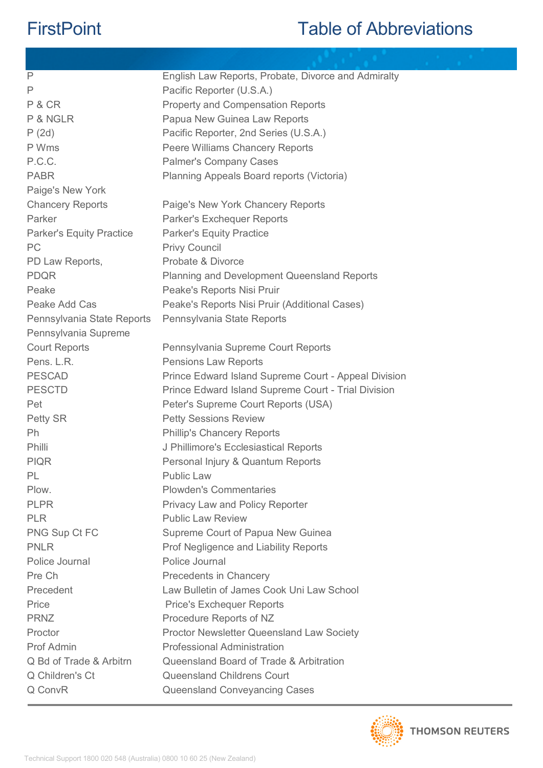| P                               | English Law Reports, Probate, Divorce and Admiralty  |
|---------------------------------|------------------------------------------------------|
| P                               | Pacific Reporter (U.S.A.)                            |
| P & CR                          | <b>Property and Compensation Reports</b>             |
| P & NGLR                        | Papua New Guinea Law Reports                         |
| P(2d)                           | Pacific Reporter, 2nd Series (U.S.A.)                |
| P Wms                           | Peere Williams Chancery Reports                      |
| P.C.C.                          | <b>Palmer's Company Cases</b>                        |
| <b>PABR</b>                     | Planning Appeals Board reports (Victoria)            |
| Paige's New York                |                                                      |
| <b>Chancery Reports</b>         | Paige's New York Chancery Reports                    |
| Parker                          | Parker's Exchequer Reports                           |
| <b>Parker's Equity Practice</b> | <b>Parker's Equity Practice</b>                      |
| PC                              | <b>Privy Council</b>                                 |
| PD Law Reports,                 | Probate & Divorce                                    |
| <b>PDQR</b>                     | <b>Planning and Development Queensland Reports</b>   |
| Peake                           | Peake's Reports Nisi Pruir                           |
| Peake Add Cas                   | Peake's Reports Nisi Pruir (Additional Cases)        |
| Pennsylvania State Reports      | Pennsylvania State Reports                           |
| Pennsylvania Supreme            |                                                      |
| <b>Court Reports</b>            | Pennsylvania Supreme Court Reports                   |
| Pens. L.R.                      | <b>Pensions Law Reports</b>                          |
| <b>PESCAD</b>                   | Prince Edward Island Supreme Court - Appeal Division |
| <b>PESCTD</b>                   | Prince Edward Island Supreme Court - Trial Division  |
| Pet                             | Peter's Supreme Court Reports (USA)                  |
| Petty SR                        | <b>Petty Sessions Review</b>                         |
| <b>Ph</b>                       | <b>Phillip's Chancery Reports</b>                    |
| Philli                          | J Phillimore's Ecclesiastical Reports                |
| <b>PIQR</b>                     | Personal Injury & Quantum Reports                    |
| PL                              | <b>Public Law</b>                                    |
| Plow.                           | <b>Plowden's Commentaries</b>                        |
| <b>PLPR</b>                     | Privacy Law and Policy Reporter                      |
| <b>PLR</b>                      | <b>Public Law Review</b>                             |
| PNG Sup Ct FC                   | Supreme Court of Papua New Guinea                    |
| <b>PNLR</b>                     | Prof Negligence and Liability Reports                |
| Police Journal                  | Police Journal                                       |
| Pre Ch                          | Precedents in Chancery                               |
| Precedent                       | Law Bulletin of James Cook Uni Law School            |
| Price                           | <b>Price's Exchequer Reports</b>                     |
| <b>PRNZ</b>                     | Procedure Reports of NZ                              |
| Proctor                         | <b>Proctor Newsletter Queensland Law Society</b>     |
| Prof Admin                      | <b>Professional Administration</b>                   |
| Q Bd of Trade & Arbitrn         | Queensland Board of Trade & Arbitration              |
| Q Children's Ct                 | <b>Queensland Childrens Court</b>                    |
| Q ConvR                         | Queensland Conveyancing Cases                        |
|                                 |                                                      |

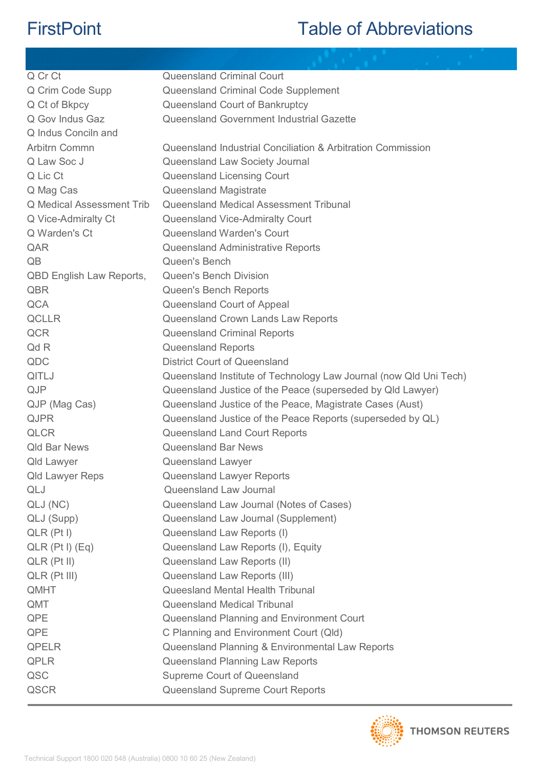| Q Cr Ct                          | <b>Queensland Criminal Court</b>                                  |
|----------------------------------|-------------------------------------------------------------------|
| Q Crim Code Supp                 | Queensland Criminal Code Supplement                               |
| Q Ct of Bkpcy                    | Queensland Court of Bankruptcy                                    |
| Q Gov Indus Gaz                  | Queensland Government Industrial Gazette                          |
| Q Indus Conciln and              |                                                                   |
| Arbitrn Commn                    | Queensland Industrial Conciliation & Arbitration Commission       |
| Q Law Soc J                      | Queensland Law Society Journal                                    |
| Q Lic Ct                         | Queensland Licensing Court                                        |
| Q Mag Cas                        | Queensland Magistrate                                             |
| <b>Q</b> Medical Assessment Trib | Queensland Medical Assessment Tribunal                            |
| Q Vice-Admiralty Ct              | Queensland Vice-Admiralty Court                                   |
| Q Warden's Ct                    | <b>Queensland Warden's Court</b>                                  |
| QAR                              | <b>Queensland Administrative Reports</b>                          |
| QB                               | Queen's Bench                                                     |
| <b>QBD English Law Reports,</b>  | <b>Queen's Bench Division</b>                                     |
| QBR                              | Queen's Bench Reports                                             |
| <b>QCA</b>                       | Queensland Court of Appeal                                        |
| <b>QCLLR</b>                     | Queensland Crown Lands Law Reports                                |
| <b>QCR</b>                       | <b>Queensland Criminal Reports</b>                                |
| Qd R                             | <b>Queensland Reports</b>                                         |
| QDC                              | <b>District Court of Queensland</b>                               |
| QITLJ                            | Queensland Institute of Technology Law Journal (now Qld Uni Tech) |
| <b>QJP</b>                       | Queensland Justice of the Peace (superseded by Qld Lawyer)        |
| QJP (Mag Cas)                    | Queensland Justice of the Peace, Magistrate Cases (Aust)          |
| <b>QJPR</b>                      | Queensland Justice of the Peace Reports (superseded by QL)        |
| <b>QLCR</b>                      | Queensland Land Court Reports                                     |
| <b>Qld Bar News</b>              | <b>Queensland Bar News</b>                                        |
| <b>Qld Lawyer</b>                | Queensland Lawyer                                                 |
| <b>Qld Lawyer Reps</b>           | Queensland Lawyer Reports                                         |
| QLJ                              | Queensland Law Journal                                            |
| QLJ (NC)                         | Queensland Law Journal (Notes of Cases)                           |
| QLJ (Supp)                       | Queensland Law Journal (Supplement)                               |
| $QLR$ ( $Pt$ I)                  | Queensland Law Reports (I)                                        |
| $QLR$ (Pt I) $(Eq)$              | Queensland Law Reports (I), Equity                                |
| $QLR$ ( $Pt$ $II$ )              | Queensland Law Reports (II)                                       |
| QLR (Pt III)                     | Queensland Law Reports (III)                                      |
| QMHT                             | Queesland Mental Health Tribunal                                  |
| QMT                              | <b>Queensland Medical Tribunal</b>                                |
| <b>QPE</b>                       | Queensland Planning and Environment Court                         |
| QPE                              | C Planning and Environment Court (Qld)                            |
| <b>QPELR</b>                     | Queensland Planning & Environmental Law Reports                   |
| <b>QPLR</b>                      | Queensland Planning Law Reports                                   |
| QSC                              | <b>Supreme Court of Queensland</b>                                |
| QSCR                             | Queensland Supreme Court Reports                                  |
|                                  |                                                                   |

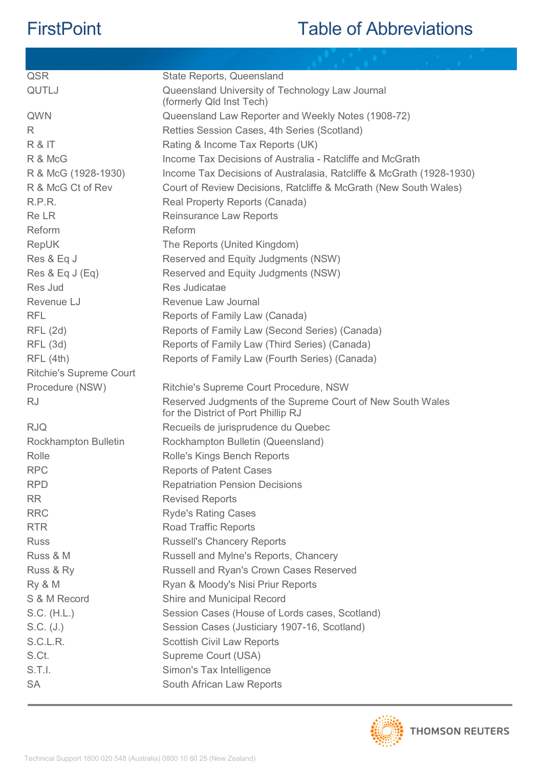| <b>QSR</b>                     | State Reports, Queensland                                                                         |
|--------------------------------|---------------------------------------------------------------------------------------------------|
| QUTLJ                          | Queensland University of Technology Law Journal<br>(formerly Qld Inst Tech)                       |
| QWN                            | Queensland Law Reporter and Weekly Notes (1908-72)                                                |
| R.                             | Retties Session Cases, 4th Series (Scotland)                                                      |
| R & IT                         | Rating & Income Tax Reports (UK)                                                                  |
| R & McG                        | Income Tax Decisions of Australia - Ratcliffe and McGrath                                         |
| R & McG (1928-1930)            | Income Tax Decisions of Australasia, Ratcliffe & McGrath (1928-1930)                              |
| R & McG Ct of Rev              | Court of Review Decisions, Ratcliffe & McGrath (New South Wales)                                  |
| R.P.R.                         | Real Property Reports (Canada)                                                                    |
| <b>ReLR</b>                    | <b>Reinsurance Law Reports</b>                                                                    |
| Reform                         | Reform                                                                                            |
| RepUK                          | The Reports (United Kingdom)                                                                      |
| Res & Eq J                     | Reserved and Equity Judgments (NSW)                                                               |
| Res & Eq J (Eq)                | Reserved and Equity Judgments (NSW)                                                               |
| Res Jud                        | Res Judicatae                                                                                     |
| Revenue LJ                     | Revenue Law Journal                                                                               |
| <b>RFL</b>                     | Reports of Family Law (Canada)                                                                    |
| <b>RFL (2d)</b>                | Reports of Family Law (Second Series) (Canada)                                                    |
| <b>RFL (3d)</b>                | Reports of Family Law (Third Series) (Canada)                                                     |
| RFL(4th)                       | Reports of Family Law (Fourth Series) (Canada)                                                    |
| <b>Ritchie's Supreme Court</b> |                                                                                                   |
| Procedure (NSW)                | Ritchie's Supreme Court Procedure, NSW                                                            |
| <b>RJ</b>                      | Reserved Judgments of the Supreme Court of New South Wales<br>for the District of Port Phillip RJ |
| <b>RJQ</b>                     | Recueils de jurisprudence du Quebec                                                               |
| <b>Rockhampton Bulletin</b>    | Rockhampton Bulletin (Queensland)                                                                 |
| Rolle                          | <b>Rolle's Kings Bench Reports</b>                                                                |
| <b>RPC</b>                     | <b>Reports of Patent Cases</b>                                                                    |
| <b>RPD</b>                     | <b>Repatriation Pension Decisions</b>                                                             |
| <b>RR</b>                      | <b>Revised Reports</b>                                                                            |
| <b>RRC</b>                     | <b>Ryde's Rating Cases</b>                                                                        |
| <b>RTR</b>                     | <b>Road Traffic Reports</b>                                                                       |
| <b>Russ</b>                    | <b>Russell's Chancery Reports</b>                                                                 |
| Russ & M                       | Russell and Mylne's Reports, Chancery                                                             |
| Russ & Ry                      | Russell and Ryan's Crown Cases Reserved                                                           |
| Ry & M                         | Ryan & Moody's Nisi Priur Reports                                                                 |
| S & M Record                   | Shire and Municipal Record                                                                        |
| S.C. (H.L.)                    | Session Cases (House of Lords cases, Scotland)                                                    |
| S.C. (J.)                      | Session Cases (Justiciary 1907-16, Scotland)                                                      |
| S.C.L.R.                       | <b>Scottish Civil Law Reports</b>                                                                 |
| S.Ct.                          | Supreme Court (USA)                                                                               |
| S.T.l.                         | Simon's Tax Intelligence                                                                          |
| <b>SA</b>                      | South African Law Reports                                                                         |

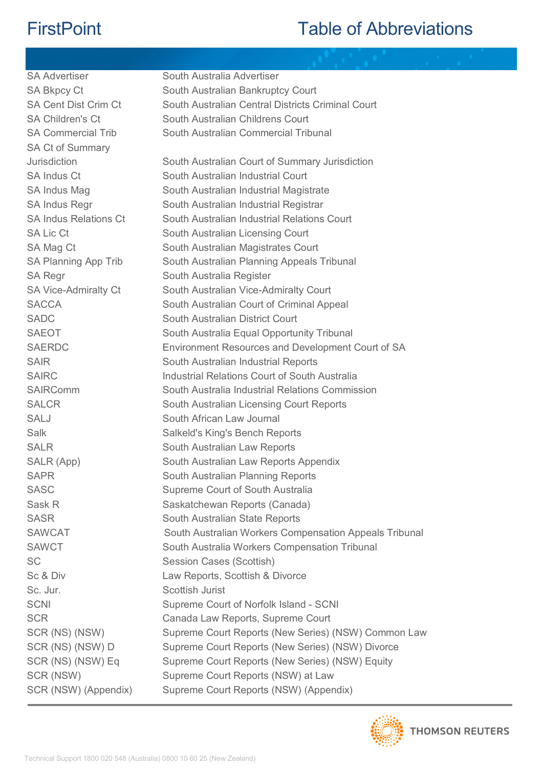| <b>SA Advertiser</b>         | South Australia Advertiser                             |
|------------------------------|--------------------------------------------------------|
| <b>SA Bkpcy Ct</b>           | South Australian Bankruptcy Court                      |
| <b>SA Cent Dist Crim Ct</b>  | South Australian Central Districts Criminal Court      |
| <b>SA Children's Ct</b>      | South Australian Childrens Court                       |
| <b>SA Commercial Trib</b>    | South Australian Commercial Tribunal                   |
| <b>SA Ct of Summary</b>      |                                                        |
| Jurisdiction                 | South Australian Court of Summary Jurisdiction         |
| <b>SA Indus Ct</b>           | South Australian Industrial Court                      |
| SA Indus Mag                 | South Australian Industrial Magistrate                 |
| <b>SA Indus Regr</b>         | South Australian Industrial Registrar                  |
| <b>SA Indus Relations Ct</b> | South Australian Industrial Relations Court            |
| <b>SA Lic Ct</b>             | South Australian Licensing Court                       |
| SA Mag Ct                    | South Australian Magistrates Court                     |
| SA Planning App Trib         | South Australian Planning Appeals Tribunal             |
| <b>SA Regr</b>               | South Australia Register                               |
| <b>SA Vice-Admiralty Ct</b>  | South Australian Vice-Admiralty Court                  |
| <b>SACCA</b>                 | South Australian Court of Criminal Appeal              |
| <b>SADC</b>                  | South Australian District Court                        |
| <b>SAEOT</b>                 | South Australia Equal Opportunity Tribunal             |
| <b>SAERDC</b>                | Environment Resources and Development Court of SA      |
| <b>SAIR</b>                  | South Australian Industrial Reports                    |
| <b>SAIRC</b>                 | Industrial Relations Court of South Australia          |
| <b>SAIRComm</b>              | South Australia Industrial Relations Commission        |
| <b>SALCR</b>                 | South Australian Licensing Court Reports               |
| <b>SALJ</b>                  | South African Law Journal                              |
| Salk                         | Salkeld's King's Bench Reports                         |
| <b>SALR</b>                  | South Australian Law Reports                           |
| SALR (App)                   | South Australian Law Reports Appendix                  |
| <b>SAPR</b>                  | South Australian Planning Reports                      |
| <b>SASC</b>                  | Supreme Court of South Australia                       |
| Sask R                       | Saskatchewan Reports (Canada)                          |
| <b>SASR</b>                  | South Australian State Reports                         |
| <b>SAWCAT</b>                | South Australian Workers Compensation Appeals Tribunal |
| <b>SAWCT</b>                 | South Australia Workers Compensation Tribunal          |
| <b>SC</b>                    | Session Cases (Scottish)                               |
| Sc & Div                     | Law Reports, Scottish & Divorce                        |
| Sc. Jur.                     | Scottish Jurist                                        |
| <b>SCNI</b>                  | Supreme Court of Norfolk Island - SCNI                 |
| <b>SCR</b>                   | Canada Law Reports, Supreme Court                      |
| SCR (NS) (NSW)               | Supreme Court Reports (New Series) (NSW) Common Law    |
| SCR (NS) (NSW) D             | Supreme Court Reports (New Series) (NSW) Divorce       |
| SCR (NS) (NSW) Eq            | Supreme Court Reports (New Series) (NSW) Equity        |
| SCR (NSW)                    | Supreme Court Reports (NSW) at Law                     |
| SCR (NSW) (Appendix)         | Supreme Court Reports (NSW) (Appendix)                 |

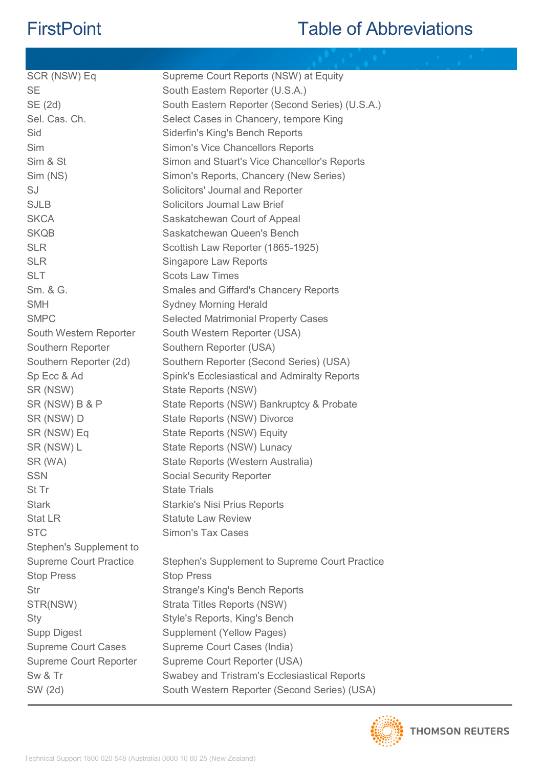| SCR (NSW) Eq                  | Supreme Court Reports (NSW) at Equity           |
|-------------------------------|-------------------------------------------------|
| <b>SE</b>                     | South Eastern Reporter (U.S.A.)                 |
| SE (2d)                       | South Eastern Reporter (Second Series) (U.S.A.) |
| Sel. Cas. Ch.                 | Select Cases in Chancery, tempore King          |
| Sid                           | Siderfin's King's Bench Reports                 |
| Sim                           | <b>Simon's Vice Chancellors Reports</b>         |
| Sim & St                      | Simon and Stuart's Vice Chancellor's Reports    |
| Sim (NS)                      | Simon's Reports, Chancery (New Series)          |
| SJ                            | Solicitors' Journal and Reporter                |
| <b>SJLB</b>                   | <b>Solicitors Journal Law Brief</b>             |
| <b>SKCA</b>                   | Saskatchewan Court of Appeal                    |
| <b>SKQB</b>                   | Saskatchewan Queen's Bench                      |
| <b>SLR</b>                    | Scottish Law Reporter (1865-1925)               |
| <b>SLR</b>                    | <b>Singapore Law Reports</b>                    |
| <b>SLT</b>                    | <b>Scots Law Times</b>                          |
| Sm. & G.                      | <b>Smales and Giffard's Chancery Reports</b>    |
| <b>SMH</b>                    | <b>Sydney Morning Herald</b>                    |
| <b>SMPC</b>                   | <b>Selected Matrimonial Property Cases</b>      |
| South Western Reporter        | South Western Reporter (USA)                    |
| Southern Reporter             | Southern Reporter (USA)                         |
| Southern Reporter (2d)        | Southern Reporter (Second Series) (USA)         |
| Sp Ecc & Ad                   | Spink's Ecclesiastical and Admiralty Reports    |
| SR (NSW)                      | State Reports (NSW)                             |
| SR (NSW) B & P                | State Reports (NSW) Bankruptcy & Probate        |
| SR (NSW) D                    | State Reports (NSW) Divorce                     |
| SR (NSW) Eq                   | State Reports (NSW) Equity                      |
| SR (NSW) L                    | State Reports (NSW) Lunacy                      |
| SR (WA)                       | State Reports (Western Australia)               |
| <b>SSN</b>                    | <b>Social Security Reporter</b>                 |
| St Tr                         | <b>State Trials</b>                             |
| <b>Stark</b>                  | <b>Starkie's Nisi Prius Reports</b>             |
| <b>Stat LR</b>                | <b>Statute Law Review</b>                       |
| <b>STC</b>                    | <b>Simon's Tax Cases</b>                        |
| Stephen's Supplement to       |                                                 |
| <b>Supreme Court Practice</b> | Stephen's Supplement to Supreme Court Practice  |
| <b>Stop Press</b>             | <b>Stop Press</b>                               |
| Str                           | <b>Strange's King's Bench Reports</b>           |
| STR(NSW)                      | Strata Titles Reports (NSW)                     |
| Sty                           | Style's Reports, King's Bench                   |
| <b>Supp Digest</b>            | <b>Supplement (Yellow Pages)</b>                |
| <b>Supreme Court Cases</b>    | Supreme Court Cases (India)                     |
| <b>Supreme Court Reporter</b> | Supreme Court Reporter (USA)                    |
| Sw & Tr                       | Swabey and Tristram's Ecclesiastical Reports    |
| SW (2d)                       | South Western Reporter (Second Series) (USA)    |

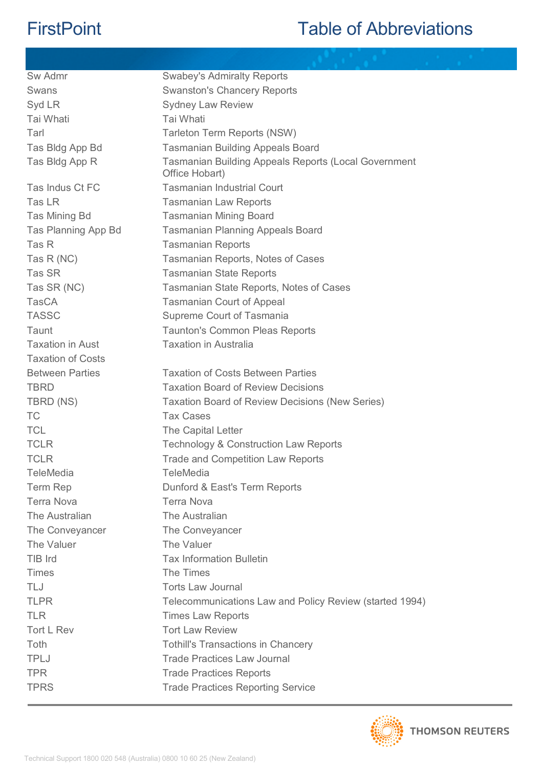| Sw Admr                  | <b>Swabey's Admiralty Reports</b>                                             |
|--------------------------|-------------------------------------------------------------------------------|
| Swans                    | <b>Swanston's Chancery Reports</b>                                            |
| Syd LR                   | <b>Sydney Law Review</b>                                                      |
| Tai Whati                | Tai Whati                                                                     |
| Tarl                     | Tarleton Term Reports (NSW)                                                   |
| Tas Bldg App Bd          | <b>Tasmanian Building Appeals Board</b>                                       |
| Tas Bldg App R           | <b>Tasmanian Building Appeals Reports (Local Government</b><br>Office Hobart) |
| Tas Indus Ct FC          | <b>Tasmanian Industrial Court</b>                                             |
| Tas LR                   | <b>Tasmanian Law Reports</b>                                                  |
| Tas Mining Bd            | <b>Tasmanian Mining Board</b>                                                 |
| Tas Planning App Bd      | <b>Tasmanian Planning Appeals Board</b>                                       |
| Tas R                    | <b>Tasmanian Reports</b>                                                      |
| Tas R (NC)               | Tasmanian Reports, Notes of Cases                                             |
| Tas SR                   | <b>Tasmanian State Reports</b>                                                |
| Tas SR (NC)              | Tasmanian State Reports, Notes of Cases                                       |
| <b>TasCA</b>             | <b>Tasmanian Court of Appeal</b>                                              |
| <b>TASSC</b>             | Supreme Court of Tasmania                                                     |
| Taunt                    | <b>Taunton's Common Pleas Reports</b>                                         |
| <b>Taxation in Aust</b>  | <b>Taxation in Australia</b>                                                  |
| <b>Taxation of Costs</b> |                                                                               |
| <b>Between Parties</b>   | <b>Taxation of Costs Between Parties</b>                                      |
| <b>TBRD</b>              | <b>Taxation Board of Review Decisions</b>                                     |
| TBRD (NS)                | <b>Taxation Board of Review Decisions (New Series)</b>                        |
| TC                       | <b>Tax Cases</b>                                                              |
| <b>TCL</b>               | The Capital Letter                                                            |
| <b>TCLR</b>              | <b>Technology &amp; Construction Law Reports</b>                              |
| <b>TCLR</b>              | <b>Trade and Competition Law Reports</b>                                      |
| <b>TeleMedia</b>         | <b>TeleMedia</b>                                                              |
| <b>Term Rep</b>          | Dunford & East's Term Reports                                                 |
| <b>Terra Nova</b>        | <b>Terra Nova</b>                                                             |
| The Australian           | The Australian                                                                |
| The Conveyancer          | The Conveyancer                                                               |
| The Valuer               | The Valuer                                                                    |
| TIB Ird                  | <b>Tax Information Bulletin</b>                                               |
| <b>Times</b>             | The Times                                                                     |
| TLJ                      | <b>Torts Law Journal</b>                                                      |
| <b>TLPR</b>              | Telecommunications Law and Policy Review (started 1994)                       |
| <b>TLR</b>               | <b>Times Law Reports</b>                                                      |
| Tort L Rev               | <b>Tort Law Review</b>                                                        |
| Toth                     | <b>Tothill's Transactions in Chancery</b>                                     |
| <b>TPLJ</b>              | <b>Trade Practices Law Journal</b>                                            |
| <b>TPR</b>               | <b>Trade Practices Reports</b>                                                |
| <b>TPRS</b>              | <b>Trade Practices Reporting Service</b>                                      |

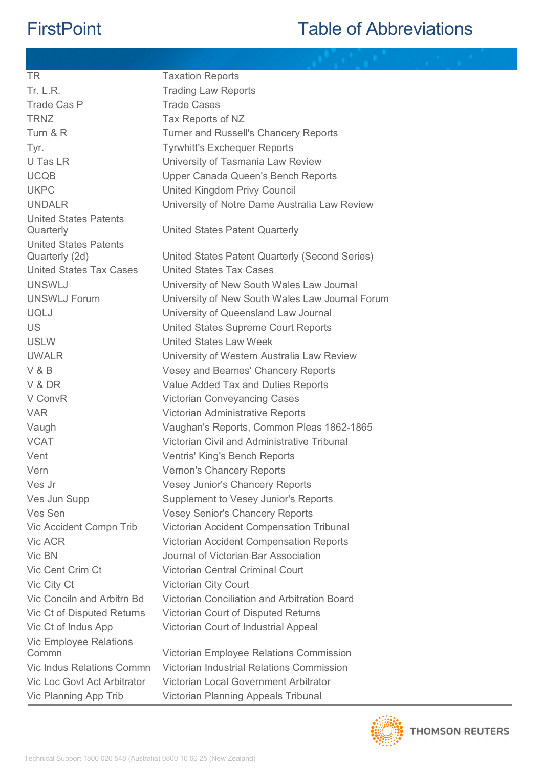| TR                                 | <b>Taxation Reports</b>                         |
|------------------------------------|-------------------------------------------------|
| <b>Tr. L.R.</b>                    | <b>Trading Law Reports</b>                      |
| Trade Cas P                        | <b>Trade Cases</b>                              |
| <b>TRNZ</b>                        | Tax Reports of NZ                               |
| Turn & R                           | <b>Turner and Russell's Chancery Reports</b>    |
| Tyr.                               | <b>Tyrwhitt's Exchequer Reports</b>             |
| U Tas LR                           | University of Tasmania Law Review               |
| <b>UCQB</b>                        | Upper Canada Queen's Bench Reports              |
| <b>UKPC</b>                        | United Kingdom Privy Council                    |
| <b>UNDALR</b>                      | University of Notre Dame Australia Law Review   |
| <b>United States Patents</b>       |                                                 |
| Quarterly                          | United States Patent Quarterly                  |
| <b>United States Patents</b>       |                                                 |
| Quarterly (2d)                     | United States Patent Quarterly (Second Series)  |
| <b>United States Tax Cases</b>     | <b>United States Tax Cases</b>                  |
| <b>UNSWLJ</b>                      | University of New South Wales Law Journal       |
| <b>UNSWLJ Forum</b>                | University of New South Wales Law Journal Forum |
| <b>UQLJ</b>                        | University of Queensland Law Journal            |
| <b>US</b>                          | United States Supreme Court Reports             |
| <b>USLW</b>                        | <b>United States Law Week</b>                   |
| <b>UWALR</b>                       | University of Western Australia Law Review      |
| V&B                                | Vesey and Beames' Chancery Reports              |
| V & DR                             | Value Added Tax and Duties Reports              |
| V ConvR                            | <b>Victorian Conveyancing Cases</b>             |
| <b>VAR</b>                         | Victorian Administrative Reports                |
| Vaugh                              | Vaughan's Reports, Common Pleas 1862-1865       |
| <b>VCAT</b>                        | Victorian Civil and Administrative Tribunal     |
| Vent                               | <b>Ventris' King's Bench Reports</b>            |
| Vern                               | <b>Vernon's Chancery Reports</b>                |
| Ves Jr                             | <b>Vesey Junior's Chancery Reports</b>          |
| Ves Jun Supp                       | Supplement to Vesey Junior's Reports            |
| Ves Sen                            | <b>Vesey Senior's Chancery Reports</b>          |
| Vic Accident Compn Trib            | Victorian Accident Compensation Tribunal        |
| Vic ACR                            | <b>Victorian Accident Compensation Reports</b>  |
| Vic BN                             | Journal of Victorian Bar Association            |
| Vic Cent Crim Ct                   | <b>Victorian Central Criminal Court</b>         |
| Vic City Ct                        | <b>Victorian City Court</b>                     |
| Vic Conciln and Arbitrn Bd         | Victorian Conciliation and Arbitration Board    |
| Vic Ct of Disputed Returns         | Victorian Court of Disputed Returns             |
| Vic Ct of Indus App                | Victorian Court of Industrial Appeal            |
| Vic Employee Relations             |                                                 |
| Commn                              | Victorian Employee Relations Commission         |
| Vic Indus Relations Commn          | Victorian Industrial Relations Commission       |
| <b>Vic Loc Govt Act Arbitrator</b> | Victorian Local Government Arbitrator           |
| Vic Planning App Trib              | Victorian Planning Appeals Tribunal             |

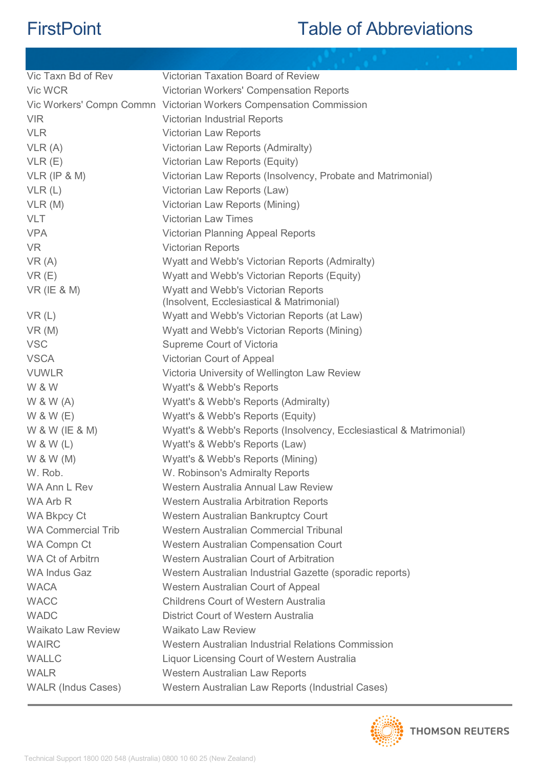| Vic Taxn Bd of Rev        | Victorian Taxation Board of Review                                  |
|---------------------------|---------------------------------------------------------------------|
| Vic WCR                   | Victorian Workers' Compensation Reports                             |
|                           | Vic Workers' Compn Commn Victorian Workers Compensation Commission  |
| <b>VIR</b>                | Victorian Industrial Reports                                        |
| <b>VLR</b>                | Victorian Law Reports                                               |
| VLR(A)                    | Victorian Law Reports (Admiralty)                                   |
| VLR(E)                    | Victorian Law Reports (Equity)                                      |
| $VLR$ (IP & M)            | Victorian Law Reports (Insolvency, Probate and Matrimonial)         |
| VLR(L)                    | Victorian Law Reports (Law)                                         |
| VLR(M)                    | Victorian Law Reports (Mining)                                      |
| <b>VLT</b>                | <b>Victorian Law Times</b>                                          |
| <b>VPA</b>                | <b>Victorian Planning Appeal Reports</b>                            |
| <b>VR</b>                 | <b>Victorian Reports</b>                                            |
| VR(A)                     | Wyatt and Webb's Victorian Reports (Admiralty)                      |
| VR(E)                     | Wyatt and Webb's Victorian Reports (Equity)                         |
| $VR$ (IE & M)             | <b>Wyatt and Webb's Victorian Reports</b>                           |
|                           | (Insolvent, Ecclesiastical & Matrimonial)                           |
| VR(L)                     | Wyatt and Webb's Victorian Reports (at Law)                         |
| VR(M)                     | Wyatt and Webb's Victorian Reports (Mining)                         |
| <b>VSC</b>                | Supreme Court of Victoria                                           |
| <b>VSCA</b>               | Victorian Court of Appeal                                           |
| <b>VUWLR</b>              | Victoria University of Wellington Law Review                        |
| W & W                     | Wyatt's & Webb's Reports                                            |
| W 8 W (A)                 | Wyatt's & Webb's Reports (Admiralty)                                |
| W & W (E)                 | Wyatt's & Webb's Reports (Equity)                                   |
| W & W (IE & M)            | Wyatt's & Webb's Reports (Insolvency, Ecclesiastical & Matrimonial) |
| W 8 W(L)                  | Wyatt's & Webb's Reports (Law)                                      |
| W & W (M)                 | Wyatt's & Webb's Reports (Mining)                                   |
| W. Rob.                   | W. Robinson's Admiralty Reports                                     |
| WA Ann L Rev              | Western Australia Annual Law Review                                 |
| WA Arb R                  | <b>Western Australia Arbitration Reports</b>                        |
| <b>WA Bkpcy Ct</b>        | Western Australian Bankruptcy Court                                 |
| <b>WA Commercial Trib</b> | Western Australian Commercial Tribunal                              |
| <b>WA Compn Ct</b>        | Western Australian Compensation Court                               |
| <b>WA Ct of Arbitrn</b>   | Western Australian Court of Arbitration                             |
| <b>WA Indus Gaz</b>       | Western Australian Industrial Gazette (sporadic reports)            |
| <b>WACA</b>               | Western Australian Court of Appeal                                  |
| <b>WACC</b>               | <b>Childrens Court of Western Australia</b>                         |
| <b>WADC</b>               | District Court of Western Australia                                 |
| <b>Waikato Law Review</b> | <b>Waikato Law Review</b>                                           |
| <b>WAIRC</b>              | Western Australian Industrial Relations Commission                  |
| <b>WALLC</b>              | Liquor Licensing Court of Western Australia                         |
| <b>WALR</b>               | <b>Western Australian Law Reports</b>                               |
| <b>WALR (Indus Cases)</b> | Western Australian Law Reports (Industrial Cases)                   |
|                           |                                                                     |

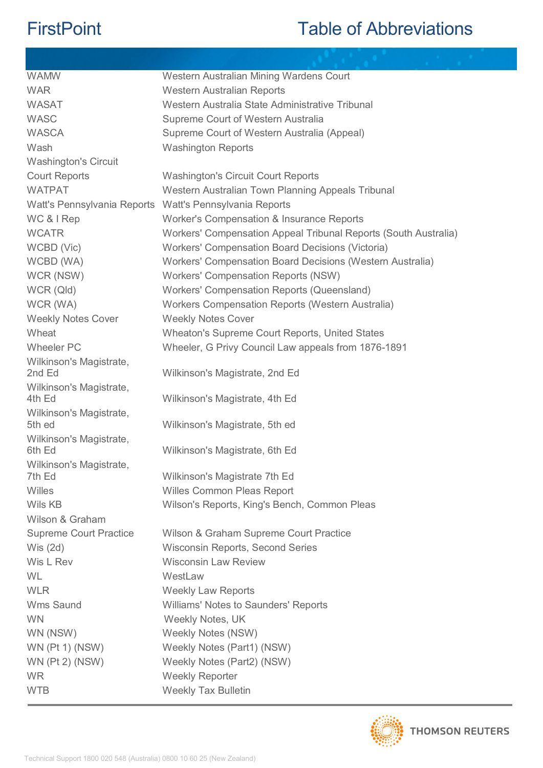| <b>WAMW</b>                       | Western Australian Mining Wardens Court                         |
|-----------------------------------|-----------------------------------------------------------------|
| <b>WAR</b>                        | <b>Western Australian Reports</b>                               |
| <b>WASAT</b>                      | Western Australia State Administrative Tribunal                 |
| <b>WASC</b>                       | Supreme Court of Western Australia                              |
| <b>WASCA</b>                      | Supreme Court of Western Australia (Appeal)                     |
| Wash                              | <b>Washington Reports</b>                                       |
| <b>Washington's Circuit</b>       |                                                                 |
| <b>Court Reports</b>              | <b>Washington's Circuit Court Reports</b>                       |
| <b>WATPAT</b>                     | Western Australian Town Planning Appeals Tribunal               |
| Watt's Pennsylvania Reports       | Watt's Pennsylvania Reports                                     |
| WC & I Rep                        | Worker's Compensation & Insurance Reports                       |
| <b>WCATR</b>                      | Workers' Compensation Appeal Tribunal Reports (South Australia) |
| WCBD (Vic)                        | Workers' Compensation Board Decisions (Victoria)                |
| WCBD (WA)                         | Workers' Compensation Board Decisions (Western Australia)       |
| WCR (NSW)                         | <b>Workers' Compensation Reports (NSW)</b>                      |
| WCR (Qld)                         | Workers' Compensation Reports (Queensland)                      |
| WCR (WA)                          | Workers Compensation Reports (Western Australia)                |
| <b>Weekly Notes Cover</b>         | <b>Weekly Notes Cover</b>                                       |
| Wheat                             | Wheaton's Supreme Court Reports, United States                  |
| <b>Wheeler PC</b>                 | Wheeler, G Privy Council Law appeals from 1876-1891             |
| Wilkinson's Magistrate,           |                                                                 |
| 2nd Ed                            | Wilkinson's Magistrate, 2nd Ed                                  |
| Wilkinson's Magistrate,           |                                                                 |
| 4th Ed                            | Wilkinson's Magistrate, 4th Ed                                  |
| Wilkinson's Magistrate,<br>5th ed | Wilkinson's Magistrate, 5th ed                                  |
|                                   |                                                                 |
| Wilkinson's Magistrate,<br>6th Ed | Wilkinson's Magistrate, 6th Ed                                  |
| Wilkinson's Magistrate,           |                                                                 |
| 7th Ed                            | Wilkinson's Magistrate 7th Ed                                   |
| Willes                            | Willes Common Pleas Report                                      |
| Wils KB                           | Wilson's Reports, King's Bench, Common Pleas                    |
| Wilson & Graham                   |                                                                 |
| <b>Supreme Court Practice</b>     | Wilson & Graham Supreme Court Practice                          |
| Wis $(2d)$                        | Wisconsin Reports, Second Series                                |
| Wis L Rev                         | <b>Wisconsin Law Review</b>                                     |
| WL                                | WestLaw                                                         |
| <b>WLR</b>                        | <b>Weekly Law Reports</b>                                       |
| Wms Saund                         | Williams' Notes to Saunders' Reports                            |
| <b>WN</b>                         | Weekly Notes, UK                                                |
| WN (NSW)                          | <b>Weekly Notes (NSW)</b>                                       |
| <b>WN (Pt 1) (NSW)</b>            | Weekly Notes (Part1) (NSW)                                      |
| <b>WN (Pt 2) (NSW)</b>            | Weekly Notes (Part2) (NSW)                                      |
| <b>WR</b>                         | <b>Weekly Reporter</b>                                          |
| <b>WTB</b>                        | <b>Weekly Tax Bulletin</b>                                      |
|                                   |                                                                 |